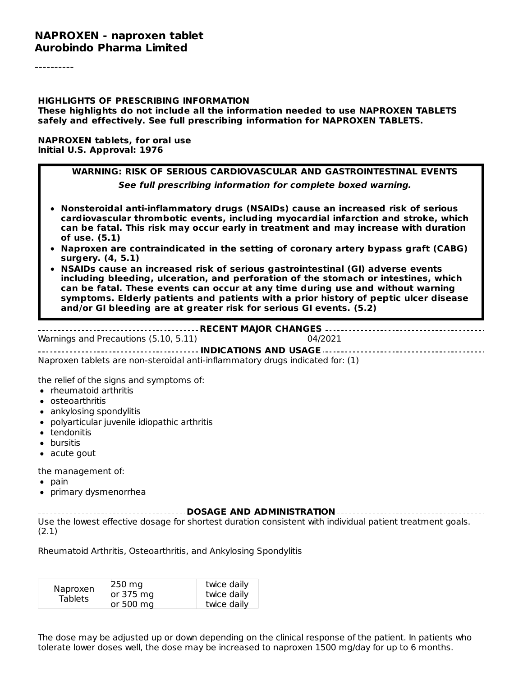#### **NAPROXEN - naproxen tablet Aurobindo Pharma Limited**

----------

#### **HIGHLIGHTS OF PRESCRIBING INFORMATION**

**These highlights do not include all the information needed to use NAPROXEN TABLETS safely and effectively. See full prescribing information for NAPROXEN TABLETS.**

**NAPROXEN tablets, for oral use Initial U.S. Approval: 1976**

#### **WARNING: RISK OF SERIOUS CARDIOVASCULAR AND GASTROINTESTINAL EVENTS See full prescribing information for complete boxed warning.**

- **Nonsteroidal anti-inflammatory drugs (NSAIDs) cause an increased risk of serious cardiovascular thrombotic events, including myocardial infarction and stroke, which can be fatal. This risk may occur early in treatment and may increase with duration of use. (5.1)**
- **Naproxen are contraindicated in the setting of coronary artery bypass graft (CABG) surgery. (4, 5.1)**
- **NSAIDs cause an increased risk of serious gastrointestinal (GI) adverse events including bleeding, ulceration, and perforation of the stomach or intestines, which can be fatal. These events can occur at any time during use and without warning symptoms. Elderly patients and patients with a prior history of peptic ulcer disease and/or GI bleeding are at greater risk for serious GI events. (5.2)**

#### **RECENT MAJOR CHANGES**

Warnings and Precautions (5.10, 5.11) 04/2021

**INDICATIONS AND USAGE** Naproxen tablets are non-steroidal anti-inflammatory drugs indicated for: (1)

the relief of the signs and symptoms of:

- rheumatoid arthritis
- osteoarthritis
- ankylosing spondylitis
- polyarticular juvenile idiopathic arthritis
- tendonitis
- **•** bursitis
- acute gout

the management of:

- $\bullet$  pain
- primary dysmenorrhea

#### **DOSAGE AND ADMINISTRATION**

Use the lowest effective dosage for shortest duration consistent with individual patient treatment goals. (2.1)

Rheumatoid Arthritis, Osteoarthritis, and Ankylosing Spondylitis

| Naproxen | $250 \text{ mg}$<br>or $375 \text{ mg}$ | twice daily<br>twice daily |
|----------|-----------------------------------------|----------------------------|
| Tablets  | $or 500$ mg                             | twice daily                |

The dose may be adjusted up or down depending on the clinical response of the patient. In patients who tolerate lower doses well, the dose may be increased to naproxen 1500 mg/day for up to 6 months.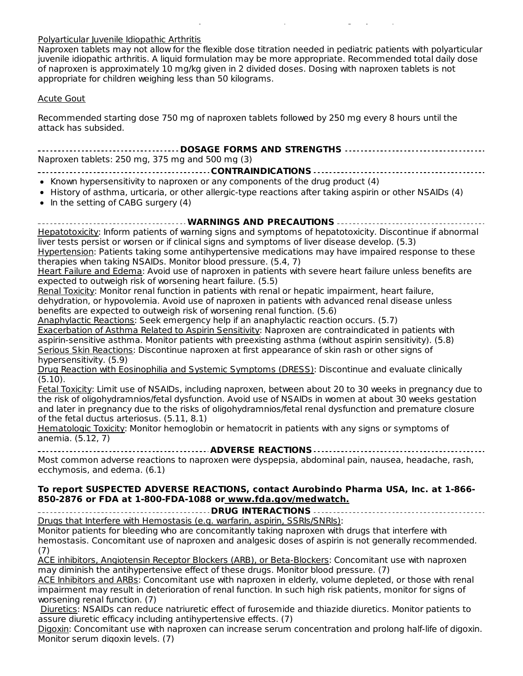#### Polyarticular Juvenile Idiopathic Arthritis

Naproxen tablets may not allow for the flexible dose titration needed in pediatric patients with polyarticular juvenile idiopathic arthritis. A liquid formulation may be more appropriate. Recommended total daily dose of naproxen is approximately 10 mg/kg given in 2 divided doses. Dosing with naproxen tablets is not appropriate for children weighing less than 50 kilograms.

#### Acute Gout

Recommended starting dose 750 mg of naproxen tablets followed by 250 mg every 8 hours until the attack has subsided.

tolerate lower doses well, the dose may be increased to naproxen 1500 mg/day for up to 6 months.

**DOSAGE FORMS AND STRENGTHS** Naproxen tablets: 250 mg, 375 mg and 500 mg (3) **CONTRAINDICATIONS**

- Known hypersensitivity to naproxen or any components of the drug product  $(4)$
- History of asthma, urticaria, or other allergic-type reactions after taking aspirin or other NSAIDs (4)
- $\bullet$  In the setting of CABG surgery (4)
- **WARNINGS AND PRECAUTIONS**

Hepatotoxicity: Inform patients of warning signs and symptoms of hepatotoxicity. Discontinue if abnormal liver tests persist or worsen or if clinical signs and symptoms of liver disease develop. (5.3) Hypertension: Patients taking some antihypertensive medications may have impaired response to these therapies when taking NSAIDs. Monitor blood pressure. (5.4, 7)

Heart Failure and Edema: Avoid use of naproxen in patients with severe heart failure unless benefits are expected to outweigh risk of worsening heart failure. (5.5)

Renal Toxicity: Monitor renal function in patients with renal or hepatic impairment, heart failure, dehydration, or hypovolemia. Avoid use of naproxen in patients with advanced renal disease unless benefits are expected to outweigh risk of worsening renal function. (5.6)

Anaphylactic Reactions: Seek emergency help if an anaphylactic reaction occurs. (5.7) Exacerbation of Asthma Related to Aspirin Sensitivity: Naproxen are contraindicated in patients with aspirin-sensitive asthma. Monitor patients with preexisting asthma (without aspirin sensitivity). (5.8) Serious Skin Reactions: Discontinue naproxen at first appearance of skin rash or other signs of hypersensitivity. (5.9)

Drug Reaction with Eosinophilia and Systemic Symptoms (DRESS): Discontinue and evaluate clinically (5.10).

Fetal Toxicity: Limit use of NSAIDs, including naproxen, between about 20 to 30 weeks in pregnancy due to the risk of oligohydramnios/fetal dysfunction. Avoid use of NSAIDs in women at about 30 weeks gestation and later in pregnancy due to the risks of oligohydramnios/fetal renal dysfunction and premature closure of the fetal ductus arteriosus. (5.11, 8.1)

Hematologic Toxicity: Monitor hemoglobin or hematocrit in patients with any signs or symptoms of anemia. (5.12, 7)

**ADVERSE REACTIONS** Most common adverse reactions to naproxen were dyspepsia, abdominal pain, nausea, headache, rash, ecchymosis, and edema. (6.1)

#### **To report SUSPECTED ADVERSE REACTIONS, contact Aurobindo Pharma USA, Inc. at 1-866- 850-2876 or FDA at 1-800-FDA-1088 or www.fda.gov/medwatch.**

**DRUG INTERACTIONS**

Drugs that Interfere with Hemostasis (e.g. warfarin, aspirin, SSRIs/SNRIs):

Monitor patients for bleeding who are concomitantly taking naproxen with drugs that interfere with hemostasis. Concomitant use of naproxen and analgesic doses of aspirin is not generally recommended. (7)

ACE inhibitors, Angiotensin Receptor Blockers (ARB), or Beta-Blockers: Concomitant use with naproxen may diminish the antihypertensive effect of these drugs. Monitor blood pressure. (7)

ACE Inhibitors and ARBs: Concomitant use with naproxen in elderly, volume depleted, or those with renal impairment may result in deterioration of renal function. In such high risk patients, monitor for signs of worsening renal function. (7)

Diuretics: NSAIDs can reduce natriuretic effect of furosemide and thiazide diuretics. Monitor patients to assure diuretic efficacy including antihypertensive effects. (7)

Digoxin: Concomitant use with naproxen can increase serum concentration and prolong half-life of digoxin. Monitor serum digoxin levels. (7)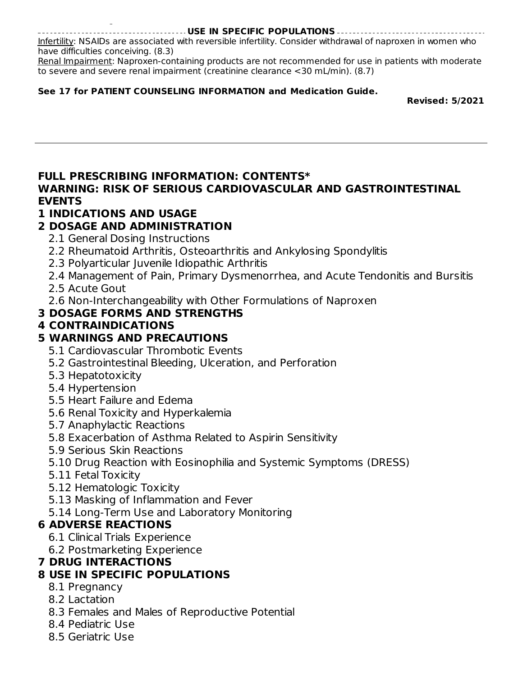#### **USE IN SPECIFIC POPULATIONS**

Infertility: NSAIDs are associated with reversible infertility. Consider withdrawal of naproxen in women who have difficulties conceiving. (8.3)

Renal Impairment: Naproxen-containing products are not recommended for use in patients with moderate to severe and severe renal impairment (creatinine clearance <30 mL/min). (8.7)

#### **See 17 for PATIENT COUNSELING INFORMATION and Medication Guide.**

**Revised: 5/2021**

### **FULL PRESCRIBING INFORMATION: CONTENTS\***

### **WARNING: RISK OF SERIOUS CARDIOVASCULAR AND GASTROINTESTINAL EVENTS**

#### **1 INDICATIONS AND USAGE**

Monitor serum digoxin levels. (7)

### **2 DOSAGE AND ADMINISTRATION**

- 2.1 General Dosing Instructions
- 2.2 Rheumatoid Arthritis, Osteoarthritis and Ankylosing Spondylitis
- 2.3 Polyarticular Juvenile Idiopathic Arthritis
- 2.4 Management of Pain, Primary Dysmenorrhea, and Acute Tendonitis and Bursitis
- 2.5 Acute Gout
- 2.6 Non-Interchangeability with Other Formulations of Naproxen

### **3 DOSAGE FORMS AND STRENGTHS**

### **4 CONTRAINDICATIONS**

### **5 WARNINGS AND PRECAUTIONS**

- 5.1 Cardiovascular Thrombotic Events
- 5.2 Gastrointestinal Bleeding, Ulceration, and Perforation
- 5.3 Hepatotoxicity
- 5.4 Hypertension
- 5.5 Heart Failure and Edema
- 5.6 Renal Toxicity and Hyperkalemia
- 5.7 Anaphylactic Reactions
- 5.8 Exacerbation of Asthma Related to Aspirin Sensitivity
- 5.9 Serious Skin Reactions
- 5.10 Drug Reaction with Eosinophilia and Systemic Symptoms (DRESS)
- 5.11 Fetal Toxicity
- 5.12 Hematologic Toxicity
- 5.13 Masking of Inflammation and Fever
- 5.14 Long-Term Use and Laboratory Monitoring

### **6 ADVERSE REACTIONS**

- 6.1 Clinical Trials Experience
- 6.2 Postmarketing Experience

### **7 DRUG INTERACTIONS**

### **8 USE IN SPECIFIC POPULATIONS**

- 8.1 Pregnancy
- 8.2 Lactation
- 8.3 Females and Males of Reproductive Potential
- 8.4 Pediatric Use
- 8.5 Geriatric Use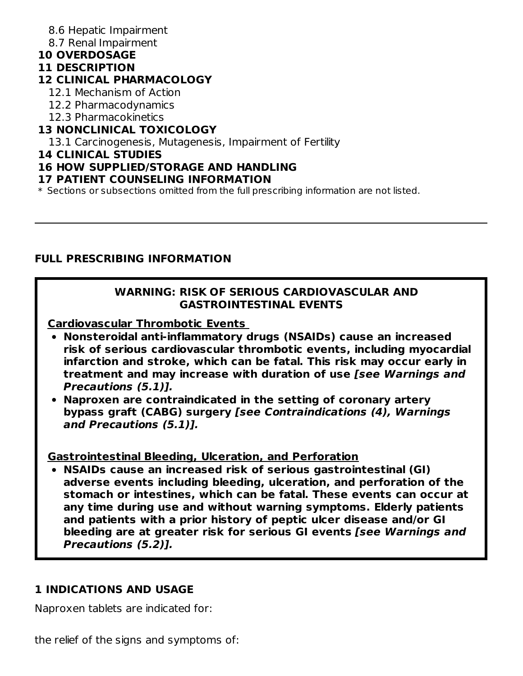- 8.6 Hepatic Impairment
- 8.7 Renal Impairment
- **10 OVERDOSAGE**

### **11 DESCRIPTION**

### **12 CLINICAL PHARMACOLOGY**

- 12.1 Mechanism of Action
- 12.2 Pharmacodynamics
- 12.3 Pharmacokinetics

### **13 NONCLINICAL TOXICOLOGY**

13.1 Carcinogenesis, Mutagenesis, Impairment of Fertility

#### **14 CLINICAL STUDIES**

### **16 HOW SUPPLIED/STORAGE AND HANDLING**

### **17 PATIENT COUNSELING INFORMATION**

\* Sections or subsections omitted from the full prescribing information are not listed.

### **FULL PRESCRIBING INFORMATION**

### **WARNING: RISK OF SERIOUS CARDIOVASCULAR AND GASTROINTESTINAL EVENTS**

**Cardiovascular Thrombotic Events**

- **Nonsteroidal anti-inflammatory drugs (NSAIDs) cause an increased risk of serious cardiovascular thrombotic events, including myocardial infarction and stroke, which can be fatal. This risk may occur early in treatment and may increase with duration of use [see Warnings and Precautions (5.1)].**
- **Naproxen are contraindicated in the setting of coronary artery bypass graft (CABG) surgery [see Contraindications (4), Warnings and Precautions (5.1)].**

### **Gastrointestinal Bleeding, Ulceration, and Perforation**

**NSAIDs cause an increased risk of serious gastrointestinal (GI) adverse events including bleeding, ulceration, and perforation of the stomach or intestines, which can be fatal. These events can occur at any time during use and without warning symptoms. Elderly patients and patients with a prior history of peptic ulcer disease and/or GI bleeding are at greater risk for serious GI events [see Warnings and Precautions (5.2)].**

### **1 INDICATIONS AND USAGE**

Naproxen tablets are indicated for:

the relief of the signs and symptoms of: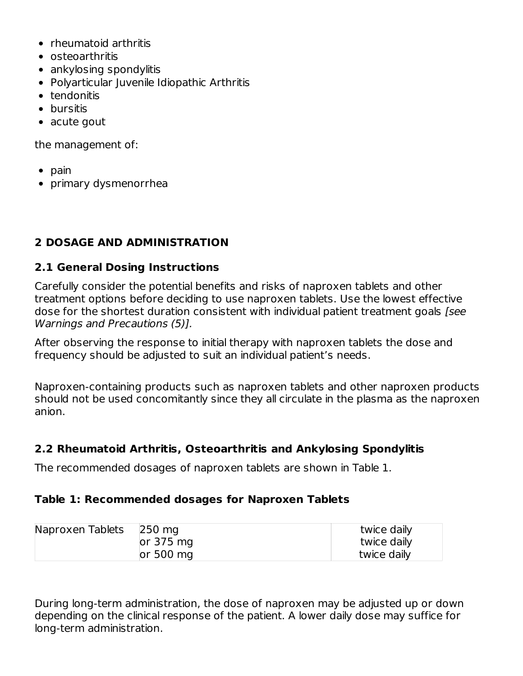- rheumatoid arthritis
- osteoarthritis
- ankylosing spondylitis
- Polyarticular Juvenile Idiopathic Arthritis
- tendonitis
- bursitis
- acute gout

the management of:

- $\bullet$  pain
- primary dysmenorrhea

## **2 DOSAGE AND ADMINISTRATION**

### **2.1 General Dosing Instructions**

Carefully consider the potential benefits and risks of naproxen tablets and other treatment options before deciding to use naproxen tablets. Use the lowest effective dose for the shortest duration consistent with individual patient treatment goals [see Warnings and Precautions (5)].

After observing the response to initial therapy with naproxen tablets the dose and frequency should be adjusted to suit an individual patient's needs.

Naproxen-containing products such as naproxen tablets and other naproxen products should not be used concomitantly since they all circulate in the plasma as the naproxen anion.

### **2.2 Rheumatoid Arthritis, Osteoarthritis and Ankylosing Spondylitis**

The recommended dosages of naproxen tablets are shown in Table 1.

### **Table 1: Recommended dosages for Naproxen Tablets**

| Naproxen Tablets | $250$ mg            | twice daily |
|------------------|---------------------|-------------|
|                  | or $375 \text{ mg}$ | twice daily |
|                  | or 500 mg           | twice daily |

During long-term administration, the dose of naproxen may be adjusted up or down depending on the clinical response of the patient. A lower daily dose may suffice for long-term administration.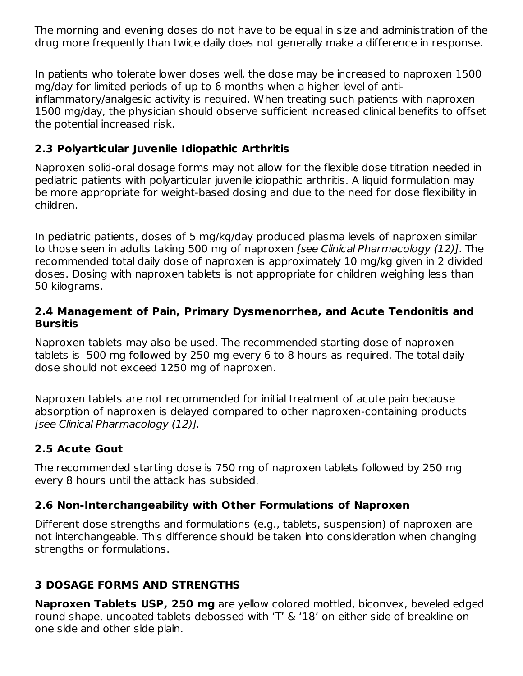The morning and evening doses do not have to be equal in size and administration of the drug more frequently than twice daily does not generally make a difference in response.

In patients who tolerate lower doses well, the dose may be increased to naproxen 1500 mg/day for limited periods of up to 6 months when a higher level of antiinflammatory/analgesic activity is required. When treating such patients with naproxen 1500 mg/day, the physician should observe sufficient increased clinical benefits to offset the potential increased risk.

### **2.3 Polyarticular Juvenile Idiopathic Arthritis**

Naproxen solid-oral dosage forms may not allow for the flexible dose titration needed in pediatric patients with polyarticular juvenile idiopathic arthritis. A liquid formulation may be more appropriate for weight-based dosing and due to the need for dose flexibility in children.

In pediatric patients, doses of 5 mg/kg/day produced plasma levels of naproxen similar to those seen in adults taking 500 mg of naproxen (see Clinical Pharmacology (12)]. The recommended total daily dose of naproxen is approximately 10 mg/kg given in 2 divided doses. Dosing with naproxen tablets is not appropriate for children weighing less than 50 kilograms.

#### **2.4 Management of Pain, Primary Dysmenorrhea, and Acute Tendonitis and Bursitis**

Naproxen tablets may also be used. The recommended starting dose of naproxen tablets is 500 mg followed by 250 mg every 6 to 8 hours as required. The total daily dose should not exceed 1250 mg of naproxen.

Naproxen tablets are not recommended for initial treatment of acute pain because absorption of naproxen is delayed compared to other naproxen-containing products [see Clinical Pharmacology (12)].

### **2.5 Acute Gout**

The recommended starting dose is 750 mg of naproxen tablets followed by 250 mg every 8 hours until the attack has subsided.

### **2.6 Non-Interchangeability with Other Formulations of Naproxen**

Different dose strengths and formulations (e.g., tablets, suspension) of naproxen are not interchangeable. This difference should be taken into consideration when changing strengths or formulations.

### **3 DOSAGE FORMS AND STRENGTHS**

**Naproxen Tablets USP, 250 mg** are yellow colored mottled, biconvex, beveled edged round shape, uncoated tablets debossed with 'T' & '18' on either side of breakline on one side and other side plain.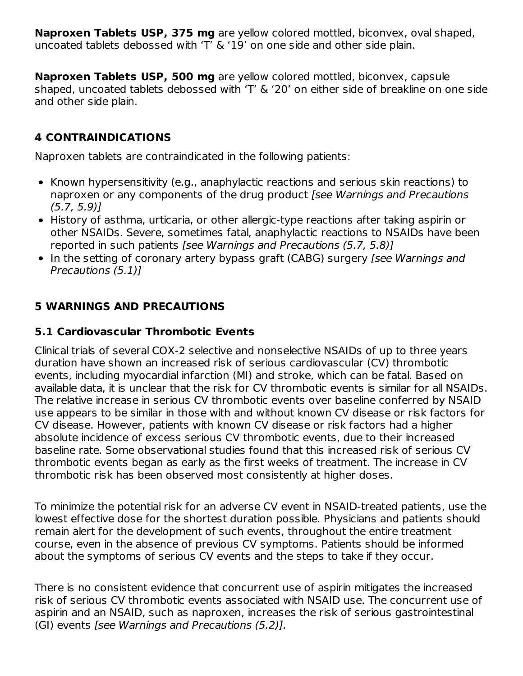**Naproxen Tablets USP, 375 mg** are yellow colored mottled, biconvex, oval shaped, uncoated tablets debossed with 'T' & '19' on one side and other side plain.

**Naproxen Tablets USP, 500 mg** are yellow colored mottled, biconvex, capsule shaped, uncoated tablets debossed with 'T' & '20' on either side of breakline on one side and other side plain.

### **4 CONTRAINDICATIONS**

Naproxen tablets are contraindicated in the following patients:

- Known hypersensitivity (e.g., anaphylactic reactions and serious skin reactions) to naproxen or any components of the drug product [see Warnings and Precautions (5.7, 5.9)]
- History of asthma, urticaria, or other allergic-type reactions after taking aspirin or other NSAIDs. Severe, sometimes fatal, anaphylactic reactions to NSAIDs have been reported in such patients [see Warnings and Precautions (5.7, 5.8)]
- In the setting of coronary artery bypass graft (CABG) surgery *[see Warnings and* Precautions (5.1)]

## **5 WARNINGS AND PRECAUTIONS**

### **5.1 Cardiovascular Thrombotic Events**

Clinical trials of several COX-2 selective and nonselective NSAIDs of up to three years duration have shown an increased risk of serious cardiovascular (CV) thrombotic events, including myocardial infarction (MI) and stroke, which can be fatal. Based on available data, it is unclear that the risk for CV thrombotic events is similar for all NSAIDs. The relative increase in serious CV thrombotic events over baseline conferred by NSAID use appears to be similar in those with and without known CV disease or risk factors for CV disease. However, patients with known CV disease or risk factors had a higher absolute incidence of excess serious CV thrombotic events, due to their increased baseline rate. Some observational studies found that this increased risk of serious CV thrombotic events began as early as the first weeks of treatment. The increase in CV thrombotic risk has been observed most consistently at higher doses.

To minimize the potential risk for an adverse CV event in NSAID-treated patients, use the lowest effective dose for the shortest duration possible. Physicians and patients should remain alert for the development of such events, throughout the entire treatment course, even in the absence of previous CV symptoms. Patients should be informed about the symptoms of serious CV events and the steps to take if they occur.

There is no consistent evidence that concurrent use of aspirin mitigates the increased risk of serious CV thrombotic events associated with NSAID use. The concurrent use of aspirin and an NSAID, such as naproxen, increases the risk of serious gastrointestinal (GI) events [see Warnings and Precautions (5.2)].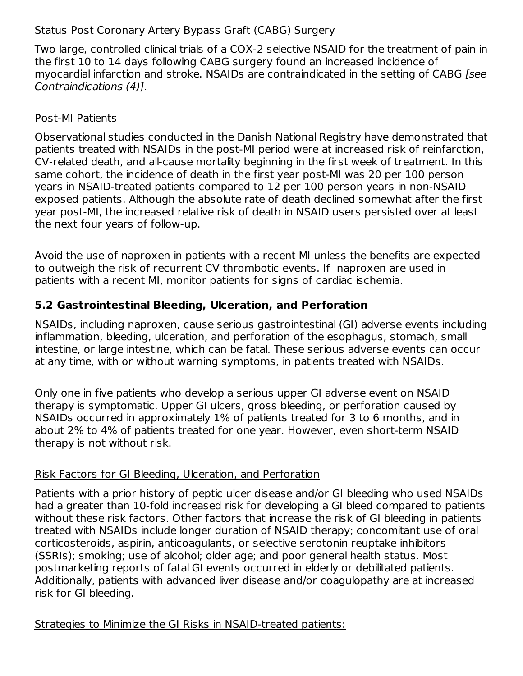#### Status Post Coronary Artery Bypass Graft (CABG) Surgery

Two large, controlled clinical trials of a COX-2 selective NSAID for the treatment of pain in the first 10 to 14 days following CABG surgery found an increased incidence of myocardial infarction and stroke. NSAIDs are contraindicated in the setting of CABG [see Contraindications (4)].

#### Post-MI Patients

Observational studies conducted in the Danish National Registry have demonstrated that patients treated with NSAIDs in the post-MI period were at increased risk of reinfarction, CV-related death, and all-cause mortality beginning in the first week of treatment. In this same cohort, the incidence of death in the first year post-MI was 20 per 100 person years in NSAID-treated patients compared to 12 per 100 person years in non-NSAID exposed patients. Although the absolute rate of death declined somewhat after the first year post-MI, the increased relative risk of death in NSAID users persisted over at least the next four years of follow-up.

Avoid the use of naproxen in patients with a recent MI unless the benefits are expected to outweigh the risk of recurrent CV thrombotic events. If naproxen are used in patients with a recent MI, monitor patients for signs of cardiac ischemia.

#### **5.2 Gastrointestinal Bleeding, Ulceration, and Perforation**

NSAIDs, including naproxen, cause serious gastrointestinal (GI) adverse events including inflammation, bleeding, ulceration, and perforation of the esophagus, stomach, small intestine, or large intestine, which can be fatal. These serious adverse events can occur at any time, with or without warning symptoms, in patients treated with NSAIDs.

Only one in five patients who develop a serious upper GI adverse event on NSAID therapy is symptomatic. Upper GI ulcers, gross bleeding, or perforation caused by NSAIDs occurred in approximately 1% of patients treated for 3 to 6 months, and in about 2% to 4% of patients treated for one year. However, even short-term NSAID therapy is not without risk.

#### Risk Factors for GI Bleeding, Ulceration, and Perforation

Patients with a prior history of peptic ulcer disease and/or GI bleeding who used NSAIDs had a greater than 10-fold increased risk for developing a GI bleed compared to patients without these risk factors. Other factors that increase the risk of GI bleeding in patients treated with NSAIDs include longer duration of NSAID therapy; concomitant use of oral corticosteroids, aspirin, anticoagulants, or selective serotonin reuptake inhibitors (SSRIs); smoking; use of alcohol; older age; and poor general health status. Most postmarketing reports of fatal GI events occurred in elderly or debilitated patients. Additionally, patients with advanced liver disease and/or coagulopathy are at increased risk for GI bleeding.

Strategies to Minimize the GI Risks in NSAID-treated patients: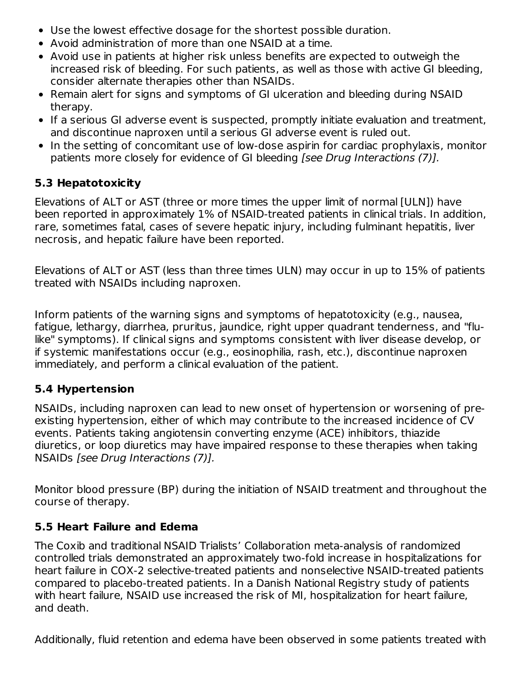- Use the lowest effective dosage for the shortest possible duration.
- Avoid administration of more than one NSAID at a time.
- Avoid use in patients at higher risk unless benefits are expected to outweigh the increased risk of bleeding. For such patients, as well as those with active GI bleeding, consider alternate therapies other than NSAIDs.
- Remain alert for signs and symptoms of GI ulceration and bleeding during NSAID therapy.
- If a serious GI adverse event is suspected, promptly initiate evaluation and treatment, and discontinue naproxen until a serious GI adverse event is ruled out.
- In the setting of concomitant use of low-dose aspirin for cardiac prophylaxis, monitor patients more closely for evidence of GI bleeding [see Drug Interactions (7)].

### **5.3 Hepatotoxicity**

Elevations of ALT or AST (three or more times the upper limit of normal [ULN]) have been reported in approximately 1% of NSAID-treated patients in clinical trials. In addition, rare, sometimes fatal, cases of severe hepatic injury, including fulminant hepatitis, liver necrosis, and hepatic failure have been reported.

Elevations of ALT or AST (less than three times ULN) may occur in up to 15% of patients treated with NSAIDs including naproxen.

Inform patients of the warning signs and symptoms of hepatotoxicity (e.g., nausea, fatigue, lethargy, diarrhea, pruritus, jaundice, right upper quadrant tenderness, and "flulike" symptoms). If clinical signs and symptoms consistent with liver disease develop, or if systemic manifestations occur (e.g., eosinophilia, rash, etc.), discontinue naproxen immediately, and perform a clinical evaluation of the patient.

### **5.4 Hypertension**

NSAIDs, including naproxen can lead to new onset of hypertension or worsening of preexisting hypertension, either of which may contribute to the increased incidence of CV events. Patients taking angiotensin converting enzyme (ACE) inhibitors, thiazide diuretics, or loop diuretics may have impaired response to these therapies when taking NSAIDs [see Drug Interactions (7)].

Monitor blood pressure (BP) during the initiation of NSAID treatment and throughout the course of therapy.

### **5.5 Heart Failure and Edema**

The Coxib and traditional NSAID Trialists' Collaboration meta-analysis of randomized controlled trials demonstrated an approximately two-fold increase in hospitalizations for heart failure in COX-2 selective-treated patients and nonselective NSAID-treated patients compared to placebo-treated patients. In a Danish National Registry study of patients with heart failure, NSAID use increased the risk of MI, hospitalization for heart failure, and death.

Additionally, fluid retention and edema have been observed in some patients treated with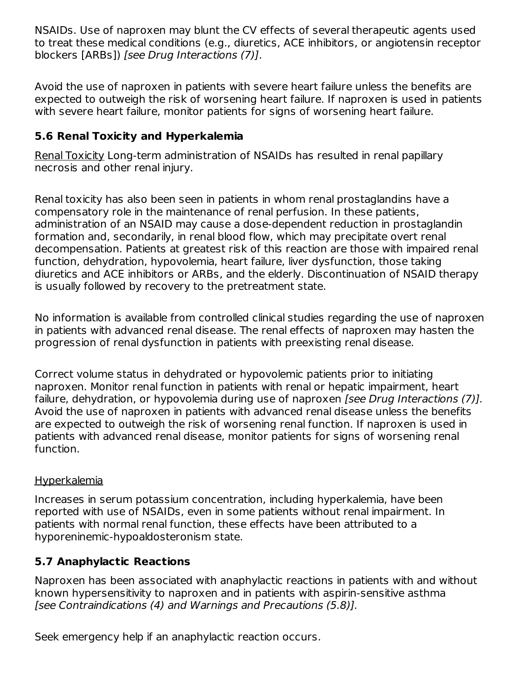NSAIDs. Use of naproxen may blunt the CV effects of several therapeutic agents used to treat these medical conditions (e.g., diuretics, ACE inhibitors, or angiotensin receptor blockers [ARBs]) [see Drug Interactions (7)].

Avoid the use of naproxen in patients with severe heart failure unless the benefits are expected to outweigh the risk of worsening heart failure. If naproxen is used in patients with severe heart failure, monitor patients for signs of worsening heart failure.

### **5.6 Renal Toxicity and Hyperkalemia**

Renal Toxicity Long-term administration of NSAIDs has resulted in renal papillary necrosis and other renal injury.

Renal toxicity has also been seen in patients in whom renal prostaglandins have a compensatory role in the maintenance of renal perfusion. In these patients, administration of an NSAID may cause a dose-dependent reduction in prostaglandin formation and, secondarily, in renal blood flow, which may precipitate overt renal decompensation. Patients at greatest risk of this reaction are those with impaired renal function, dehydration, hypovolemia, heart failure, liver dysfunction, those taking diuretics and ACE inhibitors or ARBs, and the elderly. Discontinuation of NSAID therapy is usually followed by recovery to the pretreatment state.

No information is available from controlled clinical studies regarding the use of naproxen in patients with advanced renal disease. The renal effects of naproxen may hasten the progression of renal dysfunction in patients with preexisting renal disease.

Correct volume status in dehydrated or hypovolemic patients prior to initiating naproxen. Monitor renal function in patients with renal or hepatic impairment, heart failure, dehydration, or hypovolemia during use of naproxen *[see Drug Interactions (7)]*. Avoid the use of naproxen in patients with advanced renal disease unless the benefits are expected to outweigh the risk of worsening renal function. If naproxen is used in patients with advanced renal disease, monitor patients for signs of worsening renal function.

### **Hyperkalemia**

Increases in serum potassium concentration, including hyperkalemia, have been reported with use of NSAIDs, even in some patients without renal impairment. In patients with normal renal function, these effects have been attributed to a hyporeninemic-hypoaldosteronism state.

## **5.7 Anaphylactic Reactions**

Naproxen has been associated with anaphylactic reactions in patients with and without known hypersensitivity to naproxen and in patients with aspirin-sensitive asthma [see Contraindications (4) and Warnings and Precautions (5.8)].

Seek emergency help if an anaphylactic reaction occurs.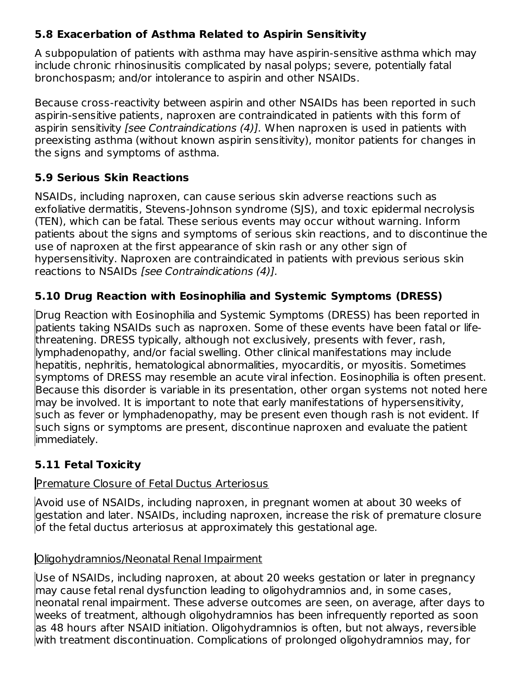### **5.8 Exacerbation of Asthma Related to Aspirin Sensitivity**

A subpopulation of patients with asthma may have aspirin-sensitive asthma which may include chronic rhinosinusitis complicated by nasal polyps; severe, potentially fatal bronchospasm; and/or intolerance to aspirin and other NSAIDs.

Because cross-reactivity between aspirin and other NSAIDs has been reported in such aspirin-sensitive patients, naproxen are contraindicated in patients with this form of aspirin sensitivity *[see Contraindications (4)]*. When naproxen is used in patients with preexisting asthma (without known aspirin sensitivity), monitor patients for changes in the signs and symptoms of asthma.

## **5.9 Serious Skin Reactions**

NSAIDs, including naproxen, can cause serious skin adverse reactions such as exfoliative dermatitis, Stevens-Johnson syndrome (SJS), and toxic epidermal necrolysis (TEN), which can be fatal. These serious events may occur without warning. Inform patients about the signs and symptoms of serious skin reactions, and to discontinue the use of naproxen at the first appearance of skin rash or any other sign of hypersensitivity. Naproxen are contraindicated in patients with previous serious skin reactions to NSAIDs [see Contraindications (4)].

## **5.10 Drug Reaction with Eosinophilia and Systemic Symptoms (DRESS)**

Drug Reaction with Eosinophilia and Systemic Symptoms (DRESS) has been reported in patients taking NSAIDs such as naproxen. Some of these events have been fatal or lifethreatening. DRESS typically, although not exclusively, presents with fever, rash, lymphadenopathy, and/or facial swelling. Other clinical manifestations may include hepatitis, nephritis, hematological abnormalities, myocarditis, or myositis. Sometimes symptoms of DRESS may resemble an acute viral infection. Eosinophilia is often present. Because this disorder is variable in its presentation, other organ systems not noted here may be involved. It is important to note that early manifestations of hypersensitivity, such as fever or lymphadenopathy, may be present even though rash is not evident. If such signs or symptoms are present, discontinue naproxen and evaluate the patient immediately.

# **5.11 Fetal Toxicity**

# Premature Closure of Fetal Ductus Arteriosus

Avoid use of NSAIDs, including naproxen, in pregnant women at about 30 weeks of gestation and later. NSAIDs, including naproxen, increase the risk of premature closure of the fetal ductus arteriosus at approximately this gestational age.

# Oligohydramnios/Neonatal Renal Impairment

Use of NSAIDs, including naproxen, at about 20 weeks gestation or later in pregnancy may cause fetal renal dysfunction leading to oligohydramnios and, in some cases, neonatal renal impairment. These adverse outcomes are seen, on average, after days to weeks of treatment, although oligohydramnios has been infrequently reported as soon as 48 hours after NSAID initiation. Oligohydramnios is often, but not always, reversible with treatment discontinuation. Complications of prolonged oligohydramnios may, for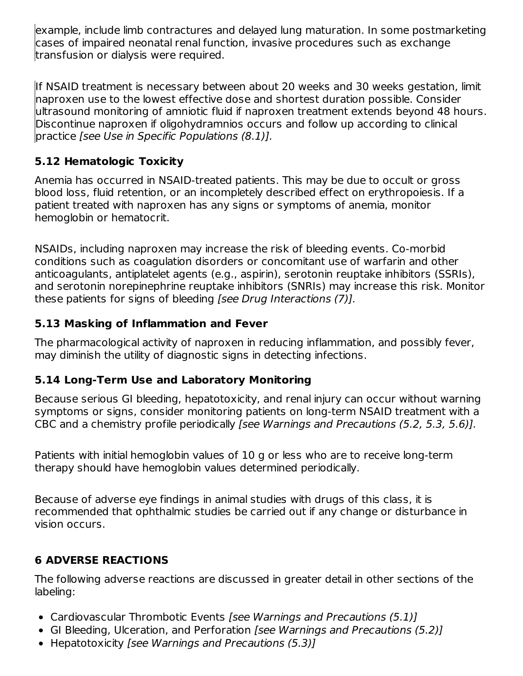example, include limb contractures and delayed lung maturation. In some postmarketing cases of impaired neonatal renal function, invasive procedures such as exchange transfusion or dialysis were required.

If NSAID treatment is necessary between about 20 weeks and 30 weeks gestation, limit naproxen use to the lowest effective dose and shortest duration possible. Consider ultrasound monitoring of amniotic fluid if naproxen treatment extends beyond 48 hours. Discontinue naproxen if oligohydramnios occurs and follow up according to clinical practice [see Use in Specific Populations (8.1)].

### **5.12 Hematologic Toxicity**

Anemia has occurred in NSAID-treated patients. This may be due to occult or gross blood loss, fluid retention, or an incompletely described effect on erythropoiesis. If a patient treated with naproxen has any signs or symptoms of anemia, monitor hemoglobin or hematocrit.

NSAIDs, including naproxen may increase the risk of bleeding events. Co-morbid conditions such as coagulation disorders or concomitant use of warfarin and other anticoagulants, antiplatelet agents (e.g., aspirin), serotonin reuptake inhibitors (SSRIs), and serotonin norepinephrine reuptake inhibitors (SNRIs) may increase this risk. Monitor these patients for signs of bleeding [see Drug Interactions (7)].

### **5.13 Masking of Inflammation and Fever**

The pharmacological activity of naproxen in reducing inflammation, and possibly fever, may diminish the utility of diagnostic signs in detecting infections.

### **5.14 Long-Term Use and Laboratory Monitoring**

Because serious GI bleeding, hepatotoxicity, and renal injury can occur without warning symptoms or signs, consider monitoring patients on long-term NSAID treatment with a CBC and a chemistry profile periodically *[see Warnings and Precautions (5.2, 5.3, 5.6)]*.

Patients with initial hemoglobin values of 10 g or less who are to receive long-term therapy should have hemoglobin values determined periodically.

Because of adverse eye findings in animal studies with drugs of this class, it is recommended that ophthalmic studies be carried out if any change or disturbance in vision occurs.

### **6 ADVERSE REACTIONS**

The following adverse reactions are discussed in greater detail in other sections of the labeling:

- Cardiovascular Thrombotic Events [see Warnings and Precautions (5.1)]
- GI Bleeding, Ulceration, and Perforation *[see Warnings and Precautions (5.2)]*
- Hepatotoxicity [see Warnings and Precautions (5.3)]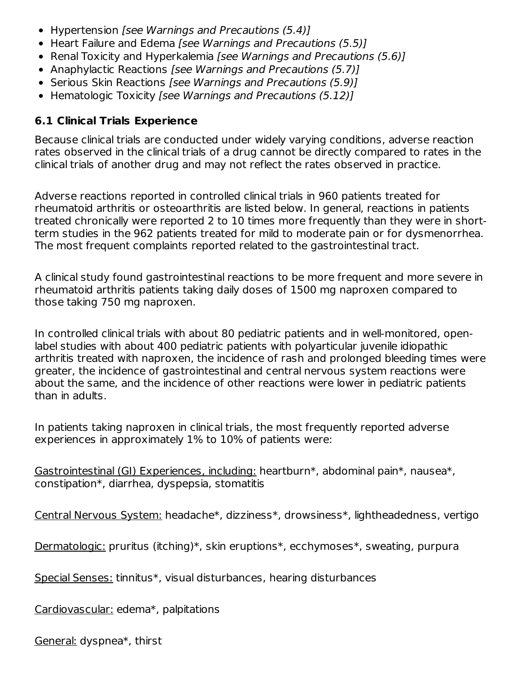- Hypertension [see Warnings and Precautions (5.4)]
- Heart Failure and Edema [see Warnings and Precautions (5.5)]
- Renal Toxicity and Hyperkalemia [see Warnings and Precautions (5.6)]
- Anaphylactic Reactions [see Warnings and Precautions (5.7)]
- Serious Skin Reactions [see Warnings and Precautions (5.9)]
- Hematologic Toxicity [see Warnings and Precautions (5.12)]

### **6.1 Clinical Trials Experience**

Because clinical trials are conducted under widely varying conditions, adverse reaction rates observed in the clinical trials of a drug cannot be directly compared to rates in the clinical trials of another drug and may not reflect the rates observed in practice.

Adverse reactions reported in controlled clinical trials in 960 patients treated for rheumatoid arthritis or osteoarthritis are listed below. In general, reactions in patients treated chronically were reported 2 to 10 times more frequently than they were in shortterm studies in the 962 patients treated for mild to moderate pain or for dysmenorrhea. The most frequent complaints reported related to the gastrointestinal tract.

A clinical study found gastrointestinal reactions to be more frequent and more severe in rheumatoid arthritis patients taking daily doses of 1500 mg naproxen compared to those taking 750 mg naproxen.

In controlled clinical trials with about 80 pediatric patients and in well-monitored, openlabel studies with about 400 pediatric patients with polyarticular juvenile idiopathic arthritis treated with naproxen, the incidence of rash and prolonged bleeding times were greater, the incidence of gastrointestinal and central nervous system reactions were about the same, and the incidence of other reactions were lower in pediatric patients than in adults.

In patients taking naproxen in clinical trials, the most frequently reported adverse experiences in approximately 1% to 10% of patients were:

Gastrointestinal (GI) Experiences, including: heartburn\*, abdominal pain\*, nausea\*, constipation\*, diarrhea, dyspepsia, stomatitis

Central Nervous System: headache\*, dizziness\*, drowsiness\*, lightheadedness, vertigo

Dermatologic: pruritus (itching)\*, skin eruptions\*, ecchymoses\*, sweating, purpura

Special Senses: tinnitus\*, visual disturbances, hearing disturbances

Cardiovascular: edema\*, palpitations

General: dyspnea\*, thirst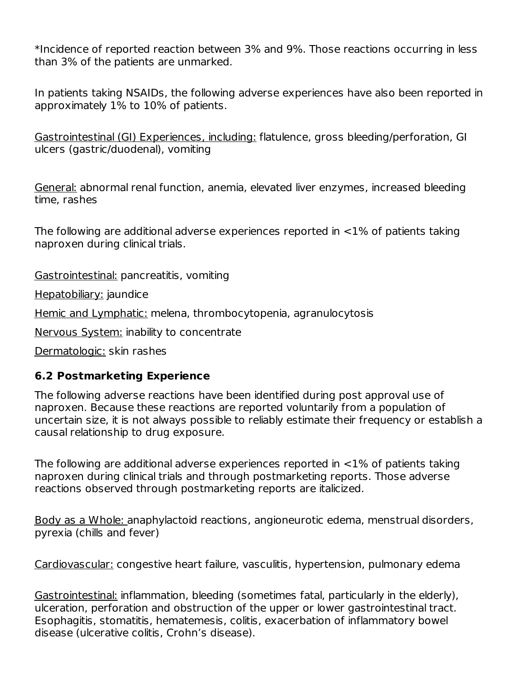\*Incidence of reported reaction between 3% and 9%. Those reactions occurring in less than 3% of the patients are unmarked.

In patients taking NSAIDs, the following adverse experiences have also been reported in approximately 1% to 10% of patients.

Gastrointestinal (GI) Experiences, including: flatulence, gross bleeding/perforation, GI ulcers (gastric/duodenal), vomiting

General: abnormal renal function, anemia, elevated liver enzymes, increased bleeding time, rashes

The following are additional adverse experiences reported in <1% of patients taking naproxen during clinical trials.

Gastrointestinal: pancreatitis, vomiting

Hepatobiliary: jaundice

Hemic and Lymphatic: melena, thrombocytopenia, agranulocytosis

Nervous System: inability to concentrate

Dermatologic: skin rashes

### **6.2 Postmarketing Experience**

The following adverse reactions have been identified during post approval use of naproxen. Because these reactions are reported voluntarily from a population of uncertain size, it is not always possible to reliably estimate their frequency or establish a causal relationship to drug exposure.

The following are additional adverse experiences reported in <1% of patients taking naproxen during clinical trials and through postmarketing reports. Those adverse reactions observed through postmarketing reports are italicized.

Body as a Whole: anaphylactoid reactions, angioneurotic edema, menstrual disorders, pyrexia (chills and fever)

Cardiovascular: congestive heart failure, vasculitis, hypertension, pulmonary edema

Gastrointestinal: inflammation, bleeding (sometimes fatal, particularly in the elderly), ulceration, perforation and obstruction of the upper or lower gastrointestinal tract. Esophagitis, stomatitis, hematemesis, colitis, exacerbation of inflammatory bowel disease (ulcerative colitis, Crohn's disease).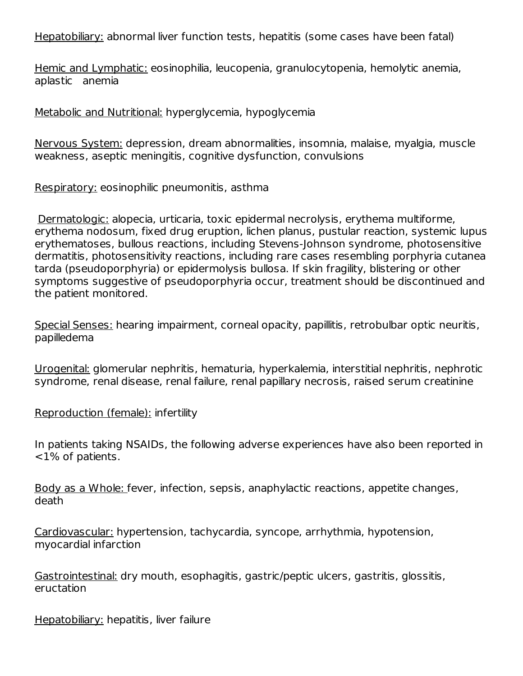Hepatobiliary: abnormal liver function tests, hepatitis (some cases have been fatal)

Hemic and Lymphatic: eosinophilia, leucopenia, granulocytopenia, hemolytic anemia, aplastic anemia

Metabolic and Nutritional: hyperglycemia, hypoglycemia

Nervous System: depression, dream abnormalities, insomnia, malaise, myalgia, muscle weakness, aseptic meningitis, cognitive dysfunction, convulsions

Respiratory: eosinophilic pneumonitis, asthma

Dermatologic: alopecia, urticaria, toxic epidermal necrolysis, erythema multiforme, erythema nodosum, fixed drug eruption, lichen planus, pustular reaction, systemic lupus erythematoses, bullous reactions, including Stevens-Johnson syndrome, photosensitive dermatitis, photosensitivity reactions, including rare cases resembling porphyria cutanea tarda (pseudoporphyria) or epidermolysis bullosa. If skin fragility, blistering or other symptoms suggestive of pseudoporphyria occur, treatment should be discontinued and the patient monitored.

Special Senses: hearing impairment, corneal opacity, papillitis, retrobulbar optic neuritis, papilledema

Urogenital: glomerular nephritis, hematuria, hyperkalemia, interstitial nephritis, nephrotic syndrome, renal disease, renal failure, renal papillary necrosis, raised serum creatinine

Reproduction (female): infertility

In patients taking NSAIDs, the following adverse experiences have also been reported in <1% of patients.

Body as a Whole: fever, infection, sepsis, anaphylactic reactions, appetite changes, death

Cardiovascular: hypertension, tachycardia, syncope, arrhythmia, hypotension, myocardial infarction

Gastrointestinal: dry mouth, esophagitis, gastric/peptic ulcers, gastritis, glossitis, eructation

Hepatobiliary: hepatitis, liver failure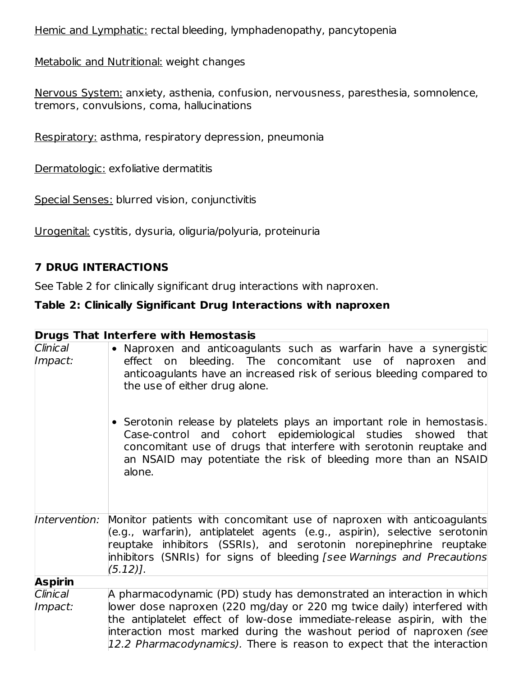Hemic and Lymphatic: rectal bleeding, lymphadenopathy, pancytopenia

Metabolic and Nutritional: weight changes

Nervous System: anxiety, asthenia, confusion, nervousness, paresthesia, somnolence, tremors, convulsions, coma, hallucinations

Respiratory: asthma, respiratory depression, pneumonia

Dermatologic: exfoliative dermatitis

Special Senses: blurred vision, conjunctivitis

Urogenital: cystitis, dysuria, oliguria/polyuria, proteinuria

### **7 DRUG INTERACTIONS**

See Table 2 for clinically significant drug interactions with naproxen.

### **Table 2: Clinically Significant Drug Interactions with naproxen**

|                     | <b>Drugs That Interfere with Hemostasis</b>                                                                                                                                                                                                                                                                                                                                |
|---------------------|----------------------------------------------------------------------------------------------------------------------------------------------------------------------------------------------------------------------------------------------------------------------------------------------------------------------------------------------------------------------------|
| Clinical<br>Impact: | Naproxen and anticoagulants such as warfarin have a synergistic<br>effect on bleeding. The concomitant use of naproxen and<br>anticoagulants have an increased risk of serious bleeding compared to<br>the use of either drug alone.                                                                                                                                       |
|                     | • Serotonin release by platelets plays an important role in hemostasis.<br>Case-control and cohort epidemiological studies showed<br>that<br>concomitant use of drugs that interfere with serotonin reuptake and<br>an NSAID may potentiate the risk of bleeding more than an NSAID<br>alone.                                                                              |
| Intervention:       | Monitor patients with concomitant use of naproxen with anticoagulants<br>(e.g., warfarin), antiplatelet agents (e.g., aspirin), selective serotonin<br>reuptake inhibitors (SSRIs), and serotonin norepinephrine reuptake<br>inhibitors (SNRIs) for signs of bleeding [see Warnings and Precautions<br>$(5.12)$ .                                                          |
| <b>Aspirin</b>      |                                                                                                                                                                                                                                                                                                                                                                            |
| Clinical<br>Impact: | A pharmacodynamic (PD) study has demonstrated an interaction in which<br>lower dose naproxen (220 mg/day or 220 mg twice daily) interfered with<br>the antiplatelet effect of low-dose immediate-release aspirin, with the<br>interaction most marked during the washout period of naproxen (see<br>12.2 Pharmacodynamics). There is reason to expect that the interaction |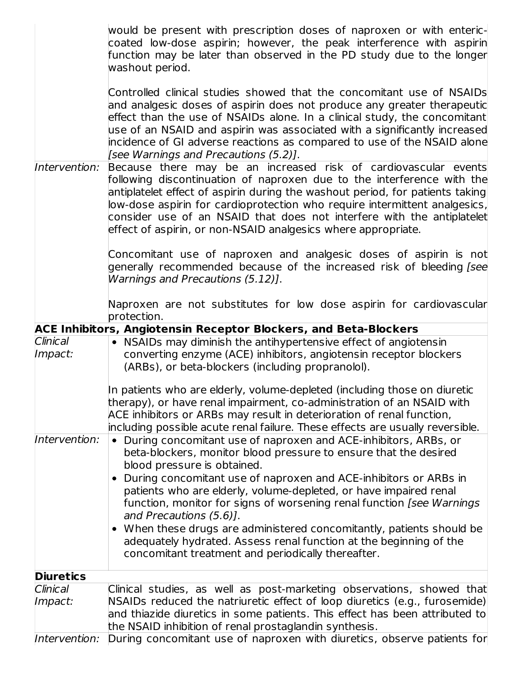|                  | would be present with prescription doses of naproxen or with enteric-<br>coated low-dose aspirin; however, the peak interference with aspirin<br>function may be later than observed in the PD study due to the longer<br>washout period.                                                                                                                                                                                                           |
|------------------|-----------------------------------------------------------------------------------------------------------------------------------------------------------------------------------------------------------------------------------------------------------------------------------------------------------------------------------------------------------------------------------------------------------------------------------------------------|
|                  | Controlled clinical studies showed that the concomitant use of NSAIDs<br>and analgesic doses of aspirin does not produce any greater therapeutic<br>effect than the use of NSAIDs alone. In a clinical study, the concomitant<br>use of an NSAID and aspirin was associated with a significantly increased<br>incidence of GI adverse reactions as compared to use of the NSAID alone<br>[see Warnings and Precautions (5.2)].                      |
| Intervention:    | Because there may be an increased risk of cardiovascular events<br>following discontinuation of naproxen due to the interference with the<br>antiplatelet effect of aspirin during the washout period, for patients taking<br>low-dose aspirin for cardioprotection who require intermittent analgesics,<br>consider use of an NSAID that does not interfere with the antiplatelet<br>effect of aspirin, or non-NSAID analgesics where appropriate. |
|                  | Concomitant use of naproxen and analgesic doses of aspirin is not<br>generally recommended because of the increased risk of bleeding [see<br>Warnings and Precautions (5.12)].                                                                                                                                                                                                                                                                      |
|                  | Naproxen are not substitutes for low dose aspirin for cardiovascular<br>protection.                                                                                                                                                                                                                                                                                                                                                                 |
|                  | <b>ACE Inhibitors, Angiotensin Receptor Blockers, and Beta-Blockers</b>                                                                                                                                                                                                                                                                                                                                                                             |
| Clinical         | • NSAIDs may diminish the antihypertensive effect of angiotensin                                                                                                                                                                                                                                                                                                                                                                                    |
| Impact:          | converting enzyme (ACE) inhibitors, angiotensin receptor blockers<br>(ARBs), or beta-blockers (including propranolol).                                                                                                                                                                                                                                                                                                                              |
|                  | In patients who are elderly, volume-depleted (including those on diuretic<br>therapy), or have renal impairment, co-administration of an NSAID with<br>ACE inhibitors or ARBs may result in deterioration of renal function,<br>including possible acute renal failure. These effects are usually reversible.                                                                                                                                       |
| Intervention:    | During concomitant use of naproxen and ACE-inhibitors, ARBs, or<br>beta-blockers, monitor blood pressure to ensure that the desired<br>blood pressure is obtained.                                                                                                                                                                                                                                                                                  |
|                  | During concomitant use of naproxen and ACE-inhibitors or ARBs in<br>patients who are elderly, volume-depleted, or have impaired renal<br>function, monitor for signs of worsening renal function [see Warnings<br>and Precautions (5.6).                                                                                                                                                                                                            |
|                  | • When these drugs are administered concomitantly, patients should be<br>adequately hydrated. Assess renal function at the beginning of the<br>concomitant treatment and periodically thereafter.                                                                                                                                                                                                                                                   |
| <b>Diuretics</b> |                                                                                                                                                                                                                                                                                                                                                                                                                                                     |
| Clinical         | Clinical studies, as well as post-marketing observations, showed that                                                                                                                                                                                                                                                                                                                                                                               |
| Impact:          | NSAIDs reduced the natriuretic effect of loop diuretics (e.g., furosemide)<br>and thiazide diuretics in some patients. This effect has been attributed to<br>the NSAID inhibition of renal prostaglandin synthesis.                                                                                                                                                                                                                                 |
|                  |                                                                                                                                                                                                                                                                                                                                                                                                                                                     |

Intervention: During concomitant use of naproxen with diuretics, observe patients for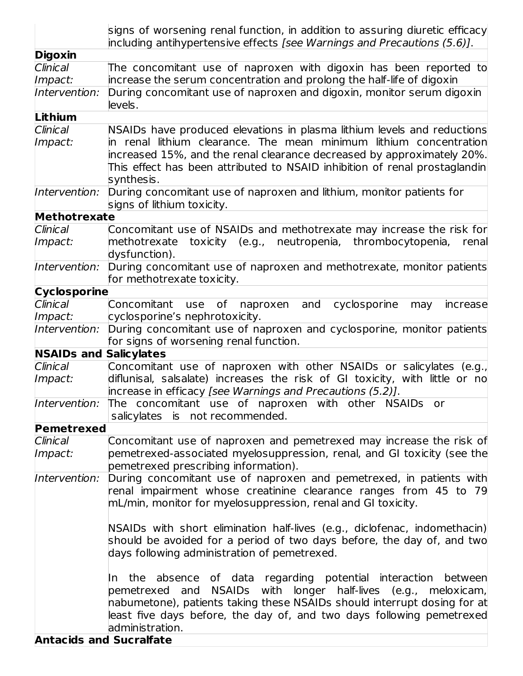|                                | signs of worsening renal function, in addition to assuring diuretic efficacy<br>including antihypertensive effects [see Warnings and Precautions (5.6)].                                                                                                                                                        |
|--------------------------------|-----------------------------------------------------------------------------------------------------------------------------------------------------------------------------------------------------------------------------------------------------------------------------------------------------------------|
| <b>Digoxin</b>                 |                                                                                                                                                                                                                                                                                                                 |
| Clinical                       | The concomitant use of naproxen with digoxin has been reported to                                                                                                                                                                                                                                               |
| Impact:                        | increase the serum concentration and prolong the half-life of digoxin                                                                                                                                                                                                                                           |
| Intervention:                  | During concomitant use of naproxen and digoxin, monitor serum digoxin<br>levels.                                                                                                                                                                                                                                |
| Lithium                        |                                                                                                                                                                                                                                                                                                                 |
| Clinical<br>Impact:            | NSAIDs have produced elevations in plasma lithium levels and reductions<br>in renal lithium clearance. The mean minimum lithium concentration                                                                                                                                                                   |
|                                | increased 15%, and the renal clearance decreased by approximately 20%.<br>This effect has been attributed to NSAID inhibition of renal prostaglandin <br>synthesis.                                                                                                                                             |
| Intervention:                  | During concomitant use of naproxen and lithium, monitor patients for<br>signs of lithium toxicity.                                                                                                                                                                                                              |
| <b>Methotrexate</b>            |                                                                                                                                                                                                                                                                                                                 |
| Clinical                       | Concomitant use of NSAIDs and methotrexate may increase the risk for                                                                                                                                                                                                                                            |
| Impact:                        | methotrexate toxicity (e.g., neutropenia, thrombocytopenia,<br>renal<br>dysfunction).                                                                                                                                                                                                                           |
| Intervention:                  | During concomitant use of naproxen and methotrexate, monitor patients<br>for methotrexate toxicity.                                                                                                                                                                                                             |
| <b>Cyclosporine</b>            |                                                                                                                                                                                                                                                                                                                 |
| Clinical                       | Concomitant<br>and<br>cyclosporine<br>of<br>naproxen<br>increase<br>use<br>may                                                                                                                                                                                                                                  |
| Impact:                        | cyclosporine's nephrotoxicity.                                                                                                                                                                                                                                                                                  |
| Intervention:                  | During concomitant use of naproxen and cyclosporine, monitor patients<br>for signs of worsening renal function.                                                                                                                                                                                                 |
| <b>NSAIDs and Salicylates</b>  |                                                                                                                                                                                                                                                                                                                 |
| Clinical<br>Impact:            | Concomitant use of naproxen with other NSAIDs or salicylates (e.g.,<br>diflunisal, salsalate) increases the risk of GI toxicity, with little or no                                                                                                                                                              |
|                                | increase in efficacy [see Warnings and Precautions (5.2)].                                                                                                                                                                                                                                                      |
| Intervention:                  | The concomitant use of naproxen with other $\sf NSAIDS$<br>or.<br>salicylates is not recommended.                                                                                                                                                                                                               |
| <b>Pemetrexed</b>              |                                                                                                                                                                                                                                                                                                                 |
| Clinical<br>Impact:            | Concomitant use of naproxen and pemetrexed may increase the risk of<br>pemetrexed-associated myelosuppression, renal, and GI toxicity (see the<br>pemetrexed prescribing information).                                                                                                                          |
| Intervention:                  | During concomitant use of naproxen and pemetrexed, in patients with<br>renal impairment whose creatinine clearance ranges from 45 to 79<br>mL/min, monitor for myelosuppression, renal and GI toxicity.                                                                                                         |
|                                | NSAIDs with short elimination half-lives (e.g., diclofenac, indomethacin)<br>should be avoided for a period of two days before, the day of, and two<br>days following administration of pemetrexed.                                                                                                             |
| <b>Antacids and Sucralfate</b> | the absence of data regarding potential interaction<br>between<br>In.<br>pemetrexed and NSAIDs with longer half-lives (e.g., meloxicam,<br>nabumetone), patients taking these NSAIDs should interrupt dosing for at<br>least five days before, the day of, and two days following pemetrexed<br>administration. |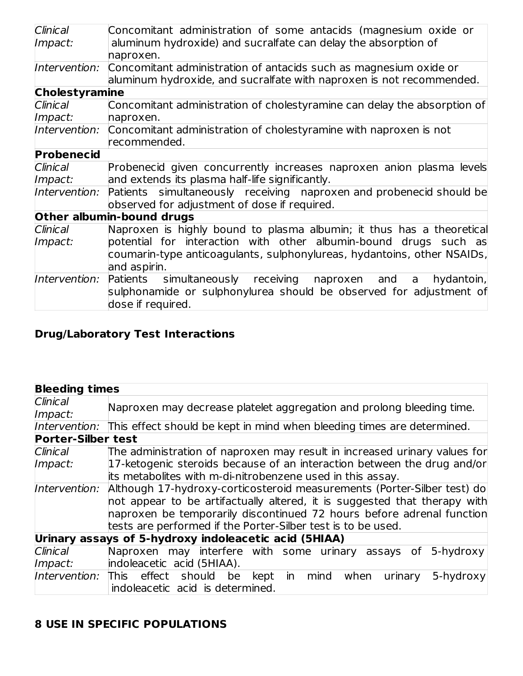| Clinical              | Concomitant administration of some antacids (magnesium oxide or                                                                                              |  |  |  |  |
|-----------------------|--------------------------------------------------------------------------------------------------------------------------------------------------------------|--|--|--|--|
| Impact:               | aluminum hydroxide) and sucralfate can delay the absorption of<br>naproxen.                                                                                  |  |  |  |  |
| Intervention:         | Concomitant administration of antacids such as magnesium oxide or<br>aluminum hydroxide, and sucralfate with naproxen is not recommended.                    |  |  |  |  |
| <b>Cholestyramine</b> |                                                                                                                                                              |  |  |  |  |
| Clinical              | Concomitant administration of cholestyramine can delay the absorption of                                                                                     |  |  |  |  |
| Impact:               | naproxen.                                                                                                                                                    |  |  |  |  |
| Intervention:         | Concomitant administration of cholestyramine with naproxen is not<br>recommended.                                                                            |  |  |  |  |
| Probenecid            |                                                                                                                                                              |  |  |  |  |
| Clinical              | Probenecid given concurrently increases naproxen anion plasma levels                                                                                         |  |  |  |  |
| Impact:               | and extends its plasma half-life significantly.                                                                                                              |  |  |  |  |
| Intervention:         | Patients simultaneously receiving naproxen and probenecid should be<br>observed for adjustment of dose if required.                                          |  |  |  |  |
|                       | Other albumin-bound drugs                                                                                                                                    |  |  |  |  |
| Clinical              | Naproxen is highly bound to plasma albumin; it thus has a theoretical                                                                                        |  |  |  |  |
| Impact:               | potential for interaction with other albumin-bound drugs such as<br>coumarin-type anticoagulants, sulphonylureas, hydantoins, other NSAIDs,<br>and aspirin.  |  |  |  |  |
| Intervention:         | simultaneously receiving naproxen and a<br>Patients<br>hydantoin,<br>sulphonamide or sulphonylurea should be observed for adjustment of<br>dose if required. |  |  |  |  |

# **Drug/Laboratory Test Interactions**

| <b>Bleeding times</b>                                 |                                                                                                                                                                                                                                                                                               |  |  |  |  |
|-------------------------------------------------------|-----------------------------------------------------------------------------------------------------------------------------------------------------------------------------------------------------------------------------------------------------------------------------------------------|--|--|--|--|
| Clinical<br>Impact:                                   | Naproxen may decrease platelet aggregation and prolong bleeding time.                                                                                                                                                                                                                         |  |  |  |  |
|                                                       | Intervention: This effect should be kept in mind when bleeding times are determined.                                                                                                                                                                                                          |  |  |  |  |
| <b>Porter-Silber test</b>                             |                                                                                                                                                                                                                                                                                               |  |  |  |  |
| Clinical                                              | The administration of naproxen may result in increased urinary values for                                                                                                                                                                                                                     |  |  |  |  |
| Impact:                                               | 17-ketogenic steroids because of an interaction between the drug and/or<br>its metabolites with m-di-nitrobenzene used in this assay.                                                                                                                                                         |  |  |  |  |
| Intervention:                                         | Although 17-hydroxy-corticosteroid measurements (Porter-Silber test) do<br>not appear to be artifactually altered, it is suggested that therapy with<br>naproxen be temporarily discontinued 72 hours before adrenal function<br>tests are performed if the Porter-Silber test is to be used. |  |  |  |  |
| Urinary assays of 5-hydroxy indoleacetic acid (5HIAA) |                                                                                                                                                                                                                                                                                               |  |  |  |  |
| Clinical<br>Impact:                                   | Naproxen may interfere with some urinary assays of 5-hydroxy<br>indoleacetic acid (5HIAA).                                                                                                                                                                                                    |  |  |  |  |
| Intervention:                                         | mind<br>This effect should<br>when<br>be<br>kept in<br>5-hydroxy<br>urinary<br>indoleacetic acid is determined.                                                                                                                                                                               |  |  |  |  |

### **8 USE IN SPECIFIC POPULATIONS**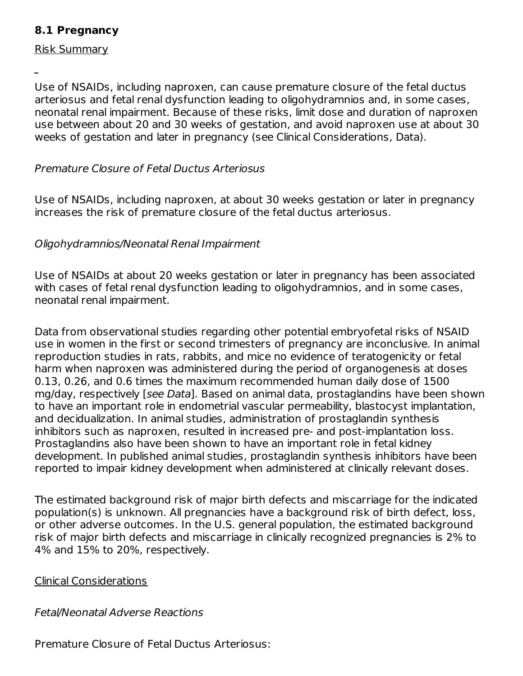### **8.1 Pregnancy**

#### Risk Summary

Use of NSAIDs, including naproxen, can cause premature closure of the fetal ductus arteriosus and fetal renal dysfunction leading to oligohydramnios and, in some cases, neonatal renal impairment. Because of these risks, limit dose and duration of naproxen use between about 20 and 30 weeks of gestation, and avoid naproxen use at about 30 weeks of gestation and later in pregnancy (see Clinical Considerations, Data).

#### Premature Closure of Fetal Ductus Arteriosus

Use of NSAIDs, including naproxen, at about 30 weeks gestation or later in pregnancy increases the risk of premature closure of the fetal ductus arteriosus.

#### Oligohydramnios/Neonatal Renal Impairment

Use of NSAIDs at about 20 weeks gestation or later in pregnancy has been associated with cases of fetal renal dysfunction leading to oligohydramnios, and in some cases, neonatal renal impairment.

Data from observational studies regarding other potential embryofetal risks of NSAID use in women in the first or second trimesters of pregnancy are inconclusive. In animal reproduction studies in rats, rabbits, and mice no evidence of teratogenicity or fetal harm when naproxen was administered during the period of organogenesis at doses 0.13, 0.26, and 0.6 times the maximum recommended human daily dose of 1500 mg/day, respectively [see Data]. Based on animal data, prostaglandins have been shown to have an important role in endometrial vascular permeability, blastocyst implantation, and decidualization. In animal studies, administration of prostaglandin synthesis inhibitors such as naproxen, resulted in increased pre- and post-implantation loss. Prostaglandins also have been shown to have an important role in fetal kidney development. In published animal studies, prostaglandin synthesis inhibitors have been reported to impair kidney development when administered at clinically relevant doses.

The estimated background risk of major birth defects and miscarriage for the indicated population(s) is unknown. All pregnancies have a background risk of birth defect, loss, or other adverse outcomes. In the U.S. general population, the estimated background risk of major birth defects and miscarriage in clinically recognized pregnancies is 2% to 4% and 15% to 20%, respectively.

#### Clinical Considerations

Fetal/Neonatal Adverse Reactions

Premature Closure of Fetal Ductus Arteriosus: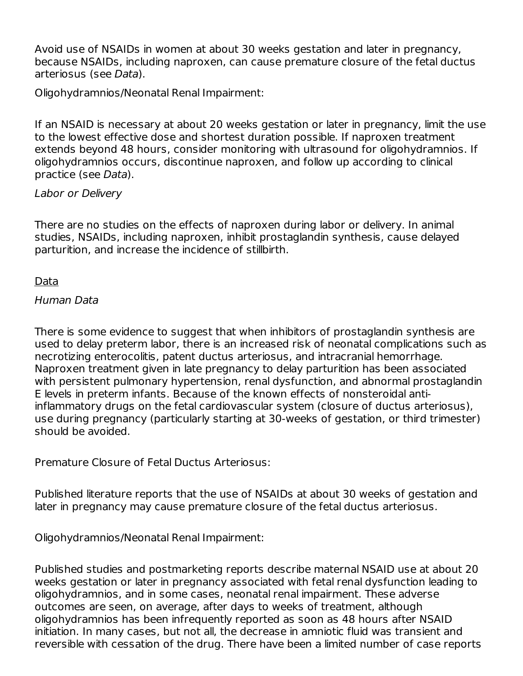Avoid use of NSAIDs in women at about 30 weeks gestation and later in pregnancy, because NSAIDs, including naproxen, can cause premature closure of the fetal ductus arteriosus (see Data).

Oligohydramnios/Neonatal Renal Impairment:

If an NSAID is necessary at about 20 weeks gestation or later in pregnancy, limit the use to the lowest effective dose and shortest duration possible. If naproxen treatment extends beyond 48 hours, consider monitoring with ultrasound for oligohydramnios. If oligohydramnios occurs, discontinue naproxen, and follow up according to clinical practice (see Data).

#### Labor or Delivery

There are no studies on the effects of naproxen during labor or delivery. In animal studies, NSAIDs, including naproxen, inhibit prostaglandin synthesis, cause delayed parturition, and increase the incidence of stillbirth.

#### Data

### Human Data

There is some evidence to suggest that when inhibitors of prostaglandin synthesis are used to delay preterm labor, there is an increased risk of neonatal complications such as necrotizing enterocolitis, patent ductus arteriosus, and intracranial hemorrhage. Naproxen treatment given in late pregnancy to delay parturition has been associated with persistent pulmonary hypertension, renal dysfunction, and abnormal prostaglandin E levels in preterm infants. Because of the known effects of nonsteroidal antiinflammatory drugs on the fetal cardiovascular system (closure of ductus arteriosus), use during pregnancy (particularly starting at 30-weeks of gestation, or third trimester) should be avoided.

Premature Closure of Fetal Ductus Arteriosus:

Published literature reports that the use of NSAIDs at about 30 weeks of gestation and later in pregnancy may cause premature closure of the fetal ductus arteriosus.

Oligohydramnios/Neonatal Renal Impairment:

Published studies and postmarketing reports describe maternal NSAID use at about 20 weeks gestation or later in pregnancy associated with fetal renal dysfunction leading to oligohydramnios, and in some cases, neonatal renal impairment. These adverse outcomes are seen, on average, after days to weeks of treatment, although oligohydramnios has been infrequently reported as soon as 48 hours after NSAID initiation. In many cases, but not all, the decrease in amniotic fluid was transient and reversible with cessation of the drug. There have been a limited number of case reports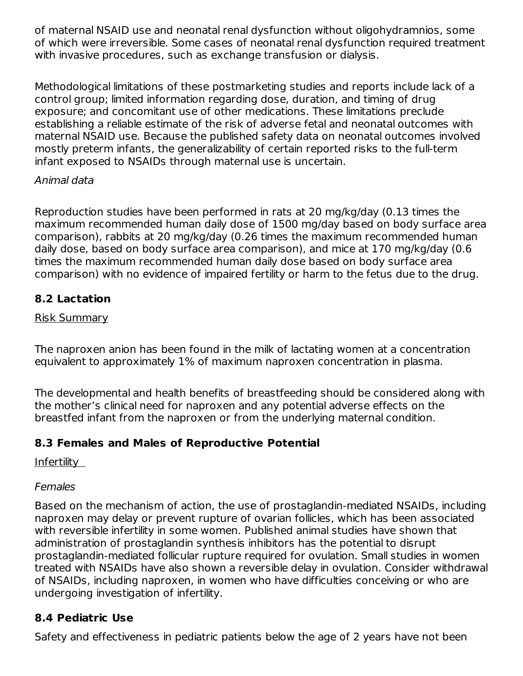of maternal NSAID use and neonatal renal dysfunction without oligohydramnios, some of which were irreversible. Some cases of neonatal renal dysfunction required treatment with invasive procedures, such as exchange transfusion or dialysis.

Methodological limitations of these postmarketing studies and reports include lack of a control group; limited information regarding dose, duration, and timing of drug exposure; and concomitant use of other medications. These limitations preclude establishing a reliable estimate of the risk of adverse fetal and neonatal outcomes with maternal NSAID use. Because the published safety data on neonatal outcomes involved mostly preterm infants, the generalizability of certain reported risks to the full-term infant exposed to NSAIDs through maternal use is uncertain.

#### Animal data

Reproduction studies have been performed in rats at 20 mg/kg/day (0.13 times the maximum recommended human daily dose of 1500 mg/day based on body surface area comparison), rabbits at 20 mg/kg/day (0.26 times the maximum recommended human daily dose, based on body surface area comparison), and mice at 170 mg/kg/day (0.6 times the maximum recommended human daily dose based on body surface area comparison) with no evidence of impaired fertility or harm to the fetus due to the drug.

### **8.2 Lactation**

### Risk Summary

The naproxen anion has been found in the milk of lactating women at a concentration equivalent to approximately 1% of maximum naproxen concentration in plasma.

The developmental and health benefits of breastfeeding should be considered along with the mother's clinical need for naproxen and any potential adverse effects on the breastfed infant from the naproxen or from the underlying maternal condition.

### **8.3 Females and Males of Reproductive Potential**

Infertility

#### Females

Based on the mechanism of action, the use of prostaglandin-mediated NSAIDs, including naproxen may delay or prevent rupture of ovarian follicles, which has been associated with reversible infertility in some women. Published animal studies have shown that administration of prostaglandin synthesis inhibitors has the potential to disrupt prostaglandin-mediated follicular rupture required for ovulation. Small studies in women treated with NSAIDs have also shown a reversible delay in ovulation. Consider withdrawal of NSAIDs, including naproxen, in women who have difficulties conceiving or who are undergoing investigation of infertility.

### **8.4 Pediatric Use**

Safety and effectiveness in pediatric patients below the age of 2 years have not been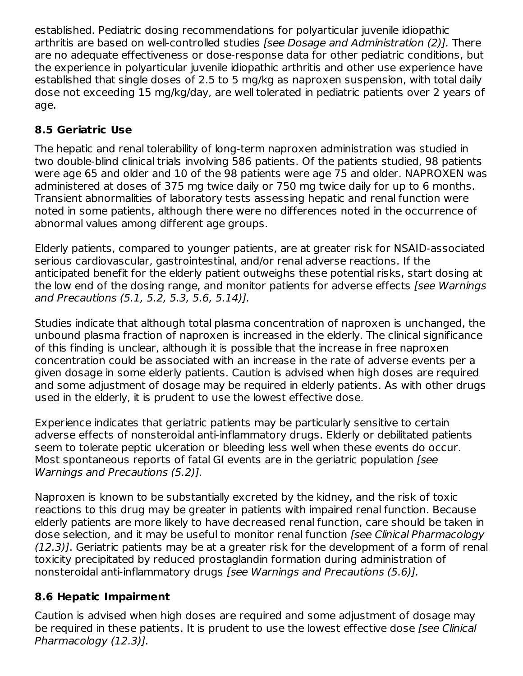established. Pediatric dosing recommendations for polyarticular juvenile idiopathic arthritis are based on well-controlled studies [see Dosage and Administration (2)]. There are no adequate effectiveness or dose-response data for other pediatric conditions, but the experience in polyarticular juvenile idiopathic arthritis and other use experience have established that single doses of 2.5 to 5 mg/kg as naproxen suspension, with total daily dose not exceeding 15 mg/kg/day, are well tolerated in pediatric patients over 2 years of age.

### **8.5 Geriatric Use**

The hepatic and renal tolerability of long-term naproxen administration was studied in two double-blind clinical trials involving 586 patients. Of the patients studied, 98 patients were age 65 and older and 10 of the 98 patients were age 75 and older. NAPROXEN was administered at doses of 375 mg twice daily or 750 mg twice daily for up to 6 months. Transient abnormalities of laboratory tests assessing hepatic and renal function were noted in some patients, although there were no differences noted in the occurrence of abnormal values among different age groups.

Elderly patients, compared to younger patients, are at greater risk for NSAID-associated serious cardiovascular, gastrointestinal, and/or renal adverse reactions. If the anticipated benefit for the elderly patient outweighs these potential risks, start dosing at the low end of the dosing range, and monitor patients for adverse effects [see Warnings and Precautions (5.1, 5.2, 5.3, 5.6, 5.14)].

Studies indicate that although total plasma concentration of naproxen is unchanged, the unbound plasma fraction of naproxen is increased in the elderly. The clinical significance of this finding is unclear, although it is possible that the increase in free naproxen concentration could be associated with an increase in the rate of adverse events per a given dosage in some elderly patients. Caution is advised when high doses are required and some adjustment of dosage may be required in elderly patients. As with other drugs used in the elderly, it is prudent to use the lowest effective dose.

Experience indicates that geriatric patients may be particularly sensitive to certain adverse effects of nonsteroidal anti-inflammatory drugs. Elderly or debilitated patients seem to tolerate peptic ulceration or bleeding less well when these events do occur. Most spontaneous reports of fatal GI events are in the geriatric population [see Warnings and Precautions (5.2)].

Naproxen is known to be substantially excreted by the kidney, and the risk of toxic reactions to this drug may be greater in patients with impaired renal function. Because elderly patients are more likely to have decreased renal function, care should be taken in dose selection, and it may be useful to monitor renal function *[see Clinical Pharmacology* (12.3)]. Geriatric patients may be at a greater risk for the development of a form of renal toxicity precipitated by reduced prostaglandin formation during administration of nonsteroidal anti-inflammatory drugs [see Warnings and Precautions (5.6)].

### **8.6 Hepatic Impairment**

Caution is advised when high doses are required and some adjustment of dosage may be required in these patients. It is prudent to use the lowest effective dose [see Clinical Pharmacology (12.3)].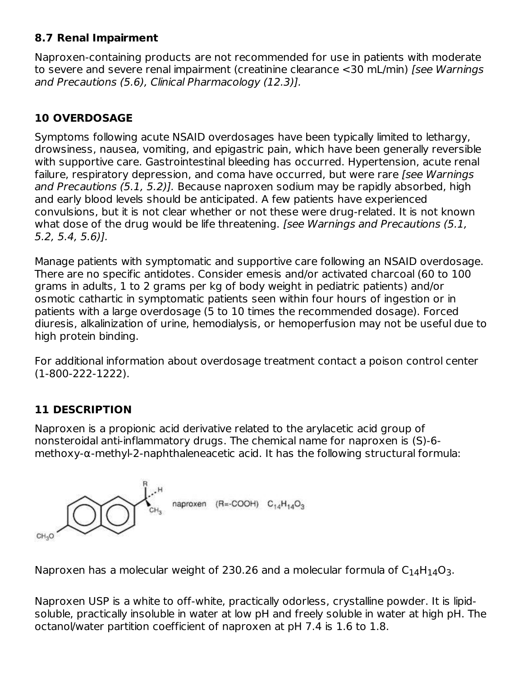### **8.7 Renal Impairment**

Naproxen-containing products are not recommended for use in patients with moderate to severe and severe renal impairment (creatinine clearance <30 mL/min) [see Warnings and Precautions (5.6), Clinical Pharmacology (12.3)].

### **10 OVERDOSAGE**

Symptoms following acute NSAID overdosages have been typically limited to lethargy, drowsiness, nausea, vomiting, and epigastric pain, which have been generally reversible with supportive care. Gastrointestinal bleeding has occurred. Hypertension, acute renal failure, respiratory depression, and coma have occurred, but were rare [see Warnings] and Precautions (5.1, 5.2)]. Because naproxen sodium may be rapidly absorbed, high and early blood levels should be anticipated. A few patients have experienced convulsions, but it is not clear whether or not these were drug-related. It is not known what dose of the drug would be life threatening. *[see Warnings and Precautions (5.1,* 5.2, 5.4, 5.6)].

Manage patients with symptomatic and supportive care following an NSAID overdosage. There are no specific antidotes. Consider emesis and/or activated charcoal (60 to 100 grams in adults, 1 to 2 grams per kg of body weight in pediatric patients) and/or osmotic cathartic in symptomatic patients seen within four hours of ingestion or in patients with a large overdosage (5 to 10 times the recommended dosage). Forced diuresis, alkalinization of urine, hemodialysis, or hemoperfusion may not be useful due to high protein binding.

For additional information about overdosage treatment contact a poison control center (1-800-222-1222).

### **11 DESCRIPTION**

Naproxen is a propionic acid derivative related to the arylacetic acid group of nonsteroidal anti-inflammatory drugs. The chemical name for naproxen is (S)-6 methoxy-α-methyl-2-naphthaleneacetic acid. It has the following structural formula:



Naproxen has a molecular weight of 230.26 and a molecular formula of  $\rm{C_{14}H_{14}O_3.}$ 

Naproxen USP is a white to off-white, practically odorless, crystalline powder. It is lipidsoluble, practically insoluble in water at low pH and freely soluble in water at high pH. The octanol/water partition coefficient of naproxen at pH 7.4 is 1.6 to 1.8.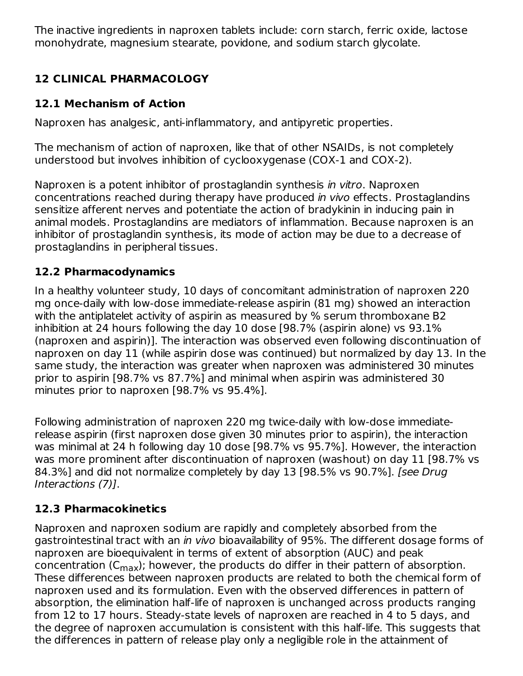The inactive ingredients in naproxen tablets include: corn starch, ferric oxide, lactose monohydrate, magnesium stearate, povidone, and sodium starch glycolate.

## **12 CLINICAL PHARMACOLOGY**

### **12.1 Mechanism of Action**

Naproxen has analgesic, anti-inflammatory, and antipyretic properties.

The mechanism of action of naproxen, like that of other NSAIDs, is not completely understood but involves inhibition of cyclooxygenase (COX-1 and COX-2).

Naproxen is a potent inhibitor of prostaglandin synthesis in vitro. Naproxen concentrations reached during therapy have produced in vivo effects. Prostaglandins sensitize afferent nerves and potentiate the action of bradykinin in inducing pain in animal models. Prostaglandins are mediators of inflammation. Because naproxen is an inhibitor of prostaglandin synthesis, its mode of action may be due to a decrease of prostaglandins in peripheral tissues.

### **12.2 Pharmacodynamics**

In a healthy volunteer study, 10 days of concomitant administration of naproxen 220 mg once-daily with low-dose immediate-release aspirin (81 mg) showed an interaction with the antiplatelet activity of aspirin as measured by % serum thromboxane B2 inhibition at 24 hours following the day 10 dose [98.7% (aspirin alone) vs 93.1% (naproxen and aspirin)]. The interaction was observed even following discontinuation of naproxen on day 11 (while aspirin dose was continued) but normalized by day 13. In the same study, the interaction was greater when naproxen was administered 30 minutes prior to aspirin [98.7% vs 87.7%] and minimal when aspirin was administered 30 minutes prior to naproxen [98.7% vs 95.4%].

Following administration of naproxen 220 mg twice-daily with low-dose immediaterelease aspirin (first naproxen dose given 30 minutes prior to aspirin), the interaction was minimal at 24 h following day 10 dose [98.7% vs 95.7%]. However, the interaction was more prominent after discontinuation of naproxen (washout) on day 11 [98.7% vs 84.3%] and did not normalize completely by day 13 [98.5% vs 90.7%]. [see Drug Interactions (7)].

### **12.3 Pharmacokinetics**

Naproxen and naproxen sodium are rapidly and completely absorbed from the gastrointestinal tract with an in vivo bioavailability of 95%. The different dosage forms of naproxen are bioequivalent in terms of extent of absorption (AUC) and peak concentration (C<sub>max</sub>); however, the products do differ in their pattern of absorption. These differences between naproxen products are related to both the chemical form of naproxen used and its formulation. Even with the observed differences in pattern of absorption, the elimination half-life of naproxen is unchanged across products ranging from 12 to 17 hours. Steady-state levels of naproxen are reached in 4 to 5 days, and the degree of naproxen accumulation is consistent with this half-life. This suggests that the differences in pattern of release play only a negligible role in the attainment of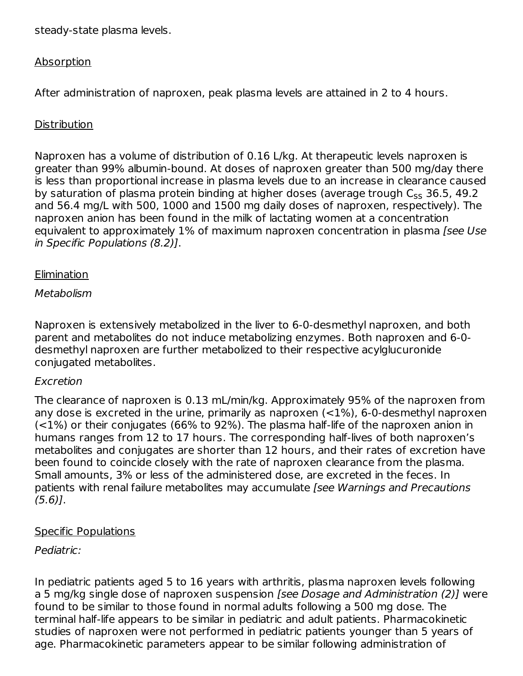steady-state plasma levels.

#### Absorption

After administration of naproxen, peak plasma levels are attained in 2 to 4 hours.

#### **Distribution**

Naproxen has a volume of distribution of 0.16 L/kg. At therapeutic levels naproxen is greater than 99% albumin-bound. At doses of naproxen greater than 500 mg/day there is less than proportional increase in plasma levels due to an increase in clearance caused by saturation of plasma protein binding at higher doses (average trough  $\mathsf{C}_\mathsf{ss}$  36.5, 49.2 and 56.4 mg/L with 500, 1000 and 1500 mg daily doses of naproxen, respectively). The naproxen anion has been found in the milk of lactating women at a concentration equivalent to approximately 1% of maximum naproxen concentration in plasma [see Use in Specific Populations (8.2)].

#### **Elimination**

Metabolism

Naproxen is extensively metabolized in the liver to 6-0-desmethyl naproxen, and both parent and metabolites do not induce metabolizing enzymes. Both naproxen and 6-0 desmethyl naproxen are further metabolized to their respective acylglucuronide conjugated metabolites.

#### Excretion

The clearance of naproxen is 0.13 mL/min/kg. Approximately 95% of the naproxen from any dose is excreted in the urine, primarily as naproxen (<1%), 6-0-desmethyl naproxen (<1%) or their conjugates (66% to 92%). The plasma half-life of the naproxen anion in humans ranges from 12 to 17 hours. The corresponding half-lives of both naproxen's metabolites and conjugates are shorter than 12 hours, and their rates of excretion have been found to coincide closely with the rate of naproxen clearance from the plasma. Small amounts, 3% or less of the administered dose, are excreted in the feces. In patients with renal failure metabolites may accumulate [see Warnings and Precautions (5.6)].

#### Specific Populations

#### Pediatric:

In pediatric patients aged 5 to 16 years with arthritis, plasma naproxen levels following a 5 mg/kg single dose of naproxen suspension [see Dosage and Administration (2)] were found to be similar to those found in normal adults following a 500 mg dose. The terminal half-life appears to be similar in pediatric and adult patients. Pharmacokinetic studies of naproxen were not performed in pediatric patients younger than 5 years of age. Pharmacokinetic parameters appear to be similar following administration of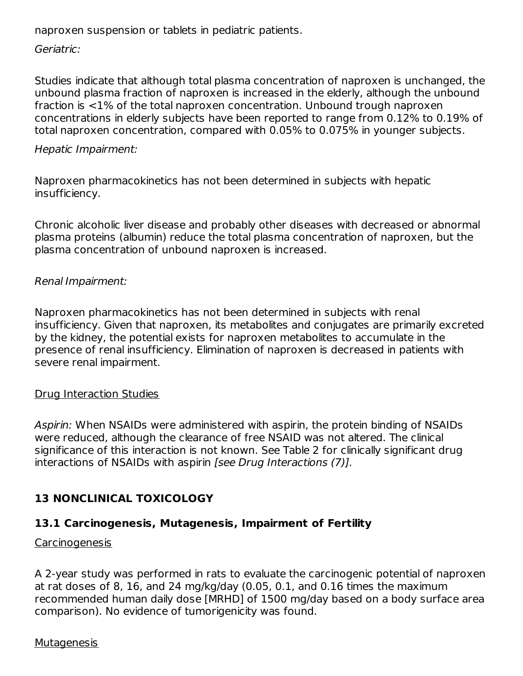naproxen suspension or tablets in pediatric patients.

#### Geriatric:

Studies indicate that although total plasma concentration of naproxen is unchanged, the unbound plasma fraction of naproxen is increased in the elderly, although the unbound fraction is <1% of the total naproxen concentration. Unbound trough naproxen concentrations in elderly subjects have been reported to range from 0.12% to 0.19% of total naproxen concentration, compared with 0.05% to 0.075% in younger subjects.

#### Hepatic Impairment:

Naproxen pharmacokinetics has not been determined in subjects with hepatic insufficiency.

Chronic alcoholic liver disease and probably other diseases with decreased or abnormal plasma proteins (albumin) reduce the total plasma concentration of naproxen, but the plasma concentration of unbound naproxen is increased.

### Renal Impairment:

Naproxen pharmacokinetics has not been determined in subjects with renal insufficiency. Given that naproxen, its metabolites and conjugates are primarily excreted by the kidney, the potential exists for naproxen metabolites to accumulate in the presence of renal insufficiency. Elimination of naproxen is decreased in patients with severe renal impairment.

#### Drug Interaction Studies

Aspirin: When NSAIDs were administered with aspirin, the protein binding of NSAIDs were reduced, although the clearance of free NSAID was not altered. The clinical significance of this interaction is not known. See Table 2 for clinically significant drug interactions of NSAIDs with aspirin [see Drug Interactions (7)].

### **13 NONCLINICAL TOXICOLOGY**

## **13.1 Carcinogenesis, Mutagenesis, Impairment of Fertility**

### Carcinogenesis

A 2-year study was performed in rats to evaluate the carcinogenic potential of naproxen at rat doses of 8, 16, and 24 mg/kg/day (0.05, 0.1, and 0.16 times the maximum recommended human daily dose [MRHD] of 1500 mg/day based on a body surface area comparison). No evidence of tumorigenicity was found.

### **Mutagenesis**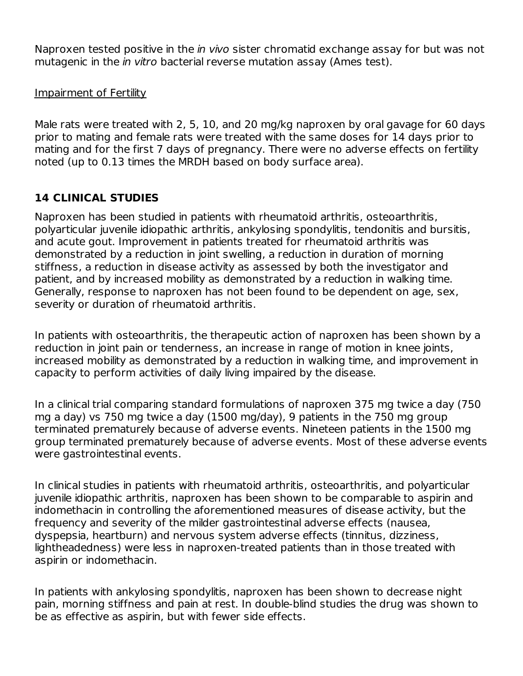Naproxen tested positive in the *in vivo* sister chromatid exchange assay for but was not mutagenic in the *in vitro* bacterial reverse mutation assay (Ames test).

Impairment of Fertility

Male rats were treated with 2, 5, 10, and 20 mg/kg naproxen by oral gavage for 60 days prior to mating and female rats were treated with the same doses for 14 days prior to mating and for the first 7 days of pregnancy. There were no adverse effects on fertility noted (up to 0.13 times the MRDH based on body surface area).

### **14 CLINICAL STUDIES**

Naproxen has been studied in patients with rheumatoid arthritis, osteoarthritis, polyarticular juvenile idiopathic arthritis, ankylosing spondylitis, tendonitis and bursitis, and acute gout. Improvement in patients treated for rheumatoid arthritis was demonstrated by a reduction in joint swelling, a reduction in duration of morning stiffness, a reduction in disease activity as assessed by both the investigator and patient, and by increased mobility as demonstrated by a reduction in walking time. Generally, response to naproxen has not been found to be dependent on age, sex, severity or duration of rheumatoid arthritis.

In patients with osteoarthritis, the therapeutic action of naproxen has been shown by a reduction in joint pain or tenderness, an increase in range of motion in knee joints, increased mobility as demonstrated by a reduction in walking time, and improvement in capacity to perform activities of daily living impaired by the disease.

In a clinical trial comparing standard formulations of naproxen 375 mg twice a day (750 mg a day) vs 750 mg twice a day (1500 mg/day), 9 patients in the 750 mg group terminated prematurely because of adverse events. Nineteen patients in the 1500 mg group terminated prematurely because of adverse events. Most of these adverse events were gastrointestinal events.

In clinical studies in patients with rheumatoid arthritis, osteoarthritis, and polyarticular juvenile idiopathic arthritis, naproxen has been shown to be comparable to aspirin and indomethacin in controlling the aforementioned measures of disease activity, but the frequency and severity of the milder gastrointestinal adverse effects (nausea, dyspepsia, heartburn) and nervous system adverse effects (tinnitus, dizziness, lightheadedness) were less in naproxen-treated patients than in those treated with aspirin or indomethacin.

In patients with ankylosing spondylitis, naproxen has been shown to decrease night pain, morning stiffness and pain at rest. In double-blind studies the drug was shown to be as effective as aspirin, but with fewer side effects.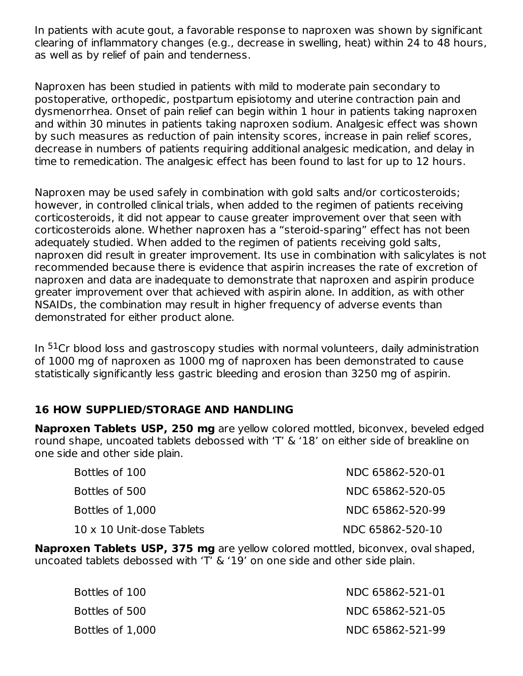In patients with acute gout, a favorable response to naproxen was shown by significant clearing of inflammatory changes (e.g., decrease in swelling, heat) within 24 to 48 hours, as well as by relief of pain and tenderness.

Naproxen has been studied in patients with mild to moderate pain secondary to postoperative, orthopedic, postpartum episiotomy and uterine contraction pain and dysmenorrhea. Onset of pain relief can begin within 1 hour in patients taking naproxen and within 30 minutes in patients taking naproxen sodium. Analgesic effect was shown by such measures as reduction of pain intensity scores, increase in pain relief scores, decrease in numbers of patients requiring additional analgesic medication, and delay in time to remedication. The analgesic effect has been found to last for up to 12 hours.

Naproxen may be used safely in combination with gold salts and/or corticosteroids; however, in controlled clinical trials, when added to the regimen of patients receiving corticosteroids, it did not appear to cause greater improvement over that seen with corticosteroids alone. Whether naproxen has a "steroid-sparing" effect has not been adequately studied. When added to the regimen of patients receiving gold salts, naproxen did result in greater improvement. Its use in combination with salicylates is not recommended because there is evidence that aspirin increases the rate of excretion of naproxen and data are inadequate to demonstrate that naproxen and aspirin produce greater improvement over that achieved with aspirin alone. In addition, as with other NSAIDs, the combination may result in higher frequency of adverse events than demonstrated for either product alone.

In  $51$ Cr blood loss and gastroscopy studies with normal volunteers, daily administration of 1000 mg of naproxen as 1000 mg of naproxen has been demonstrated to cause statistically significantly less gastric bleeding and erosion than 3250 mg of aspirin.

#### **16 HOW SUPPLIED/STORAGE AND HANDLING**

**Naproxen Tablets USP, 250 mg** are yellow colored mottled, biconvex, beveled edged round shape, uncoated tablets debossed with 'T' & '18' on either side of breakline on one side and other side plain.

| Bottles of 100            | NDC 65862-520-01 |
|---------------------------|------------------|
| Bottles of 500            | NDC 65862-520-05 |
| Bottles of 1,000          | NDC 65862-520-99 |
| 10 x 10 Unit-dose Tablets | NDC 65862-520-10 |

**Naproxen Tablets USP, 375 mg** are yellow colored mottled, biconvex, oval shaped, uncoated tablets debossed with 'T' & '19' on one side and other side plain.

| Bottles of 100   | NDC 65862-521-01 |
|------------------|------------------|
| Bottles of 500   | NDC 65862-521-05 |
| Bottles of 1,000 | NDC 65862-521-99 |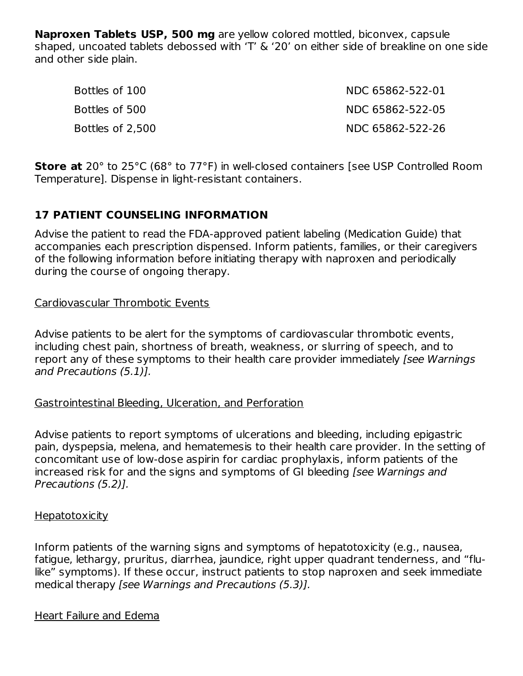**Naproxen Tablets USP, 500 mg** are yellow colored mottled, biconvex, capsule shaped, uncoated tablets debossed with 'T' & '20' on either side of breakline on one side and other side plain.

| Bottles of 100   | NDC 65862-522-01 |
|------------------|------------------|
| Bottles of 500   | NDC 65862-522-05 |
| Bottles of 2,500 | NDC 65862-522-26 |

**Store at** 20° to 25°C (68° to 77°F) in well-closed containers [see USP Controlled Room Temperature]. Dispense in light-resistant containers.

### **17 PATIENT COUNSELING INFORMATION**

Advise the patient to read the FDA-approved patient labeling (Medication Guide) that accompanies each prescription dispensed. Inform patients, families, or their caregivers of the following information before initiating therapy with naproxen and periodically during the course of ongoing therapy.

#### Cardiovascular Thrombotic Events

Advise patients to be alert for the symptoms of cardiovascular thrombotic events, including chest pain, shortness of breath, weakness, or slurring of speech, and to report any of these symptoms to their health care provider immediately [see Warnings] and Precautions (5.1)].

#### Gastrointestinal Bleeding, Ulceration, and Perforation

Advise patients to report symptoms of ulcerations and bleeding, including epigastric pain, dyspepsia, melena, and hematemesis to their health care provider. In the setting of concomitant use of low-dose aspirin for cardiac prophylaxis, inform patients of the increased risk for and the signs and symptoms of GI bleeding [see Warnings and Precautions (5.2)].

#### **Hepatotoxicity**

Inform patients of the warning signs and symptoms of hepatotoxicity (e.g., nausea, fatigue, lethargy, pruritus, diarrhea, jaundice, right upper quadrant tenderness, and "flulike" symptoms). If these occur, instruct patients to stop naproxen and seek immediate medical therapy [see Warnings and Precautions (5.3)].

#### Heart Failure and Edema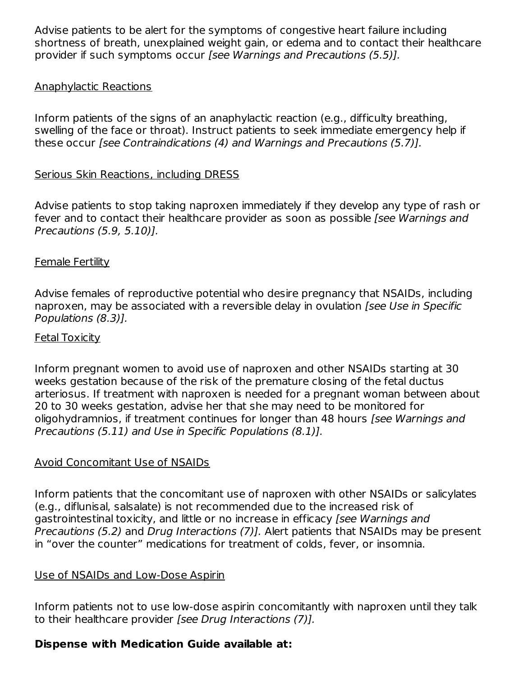Advise patients to be alert for the symptoms of congestive heart failure including shortness of breath, unexplained weight gain, or edema and to contact their healthcare provider if such symptoms occur [see Warnings and Precautions (5.5)].

#### Anaphylactic Reactions

Inform patients of the signs of an anaphylactic reaction (e.g., difficulty breathing, swelling of the face or throat). Instruct patients to seek immediate emergency help if these occur [see Contraindications (4) and Warnings and Precautions (5.7)].

#### Serious Skin Reactions, including DRESS

Advise patients to stop taking naproxen immediately if they develop any type of rash or fever and to contact their healthcare provider as soon as possible [see Warnings and Precautions (5.9, 5.10)].

#### Female Fertility

Advise females of reproductive potential who desire pregnancy that NSAIDs, including naproxen, may be associated with a reversible delay in ovulation *[see Use in Specific* Populations (8.3)].

#### **Fetal Toxicity**

Inform pregnant women to avoid use of naproxen and other NSAIDs starting at 30 weeks gestation because of the risk of the premature closing of the fetal ductus arteriosus. If treatment with naproxen is needed for a pregnant woman between about 20 to 30 weeks gestation, advise her that she may need to be monitored for oligohydramnios, if treatment continues for longer than 48 hours *[see Warnings and* Precautions (5.11) and Use in Specific Populations (8.1)].

#### Avoid Concomitant Use of NSAIDs

Inform patients that the concomitant use of naproxen with other NSAIDs or salicylates (e.g., diflunisal, salsalate) is not recommended due to the increased risk of gastrointestinal toxicity, and little or no increase in efficacy [see Warnings and Precautions (5.2) and Drug Interactions (7)]. Alert patients that NSAIDs may be present in "over the counter" medications for treatment of colds, fever, or insomnia.

#### Use of NSAIDs and Low-Dose Aspirin

Inform patients not to use low-dose aspirin concomitantly with naproxen until they talk to their healthcare provider [see Drug Interactions (7)].

#### **Dispense with Medication Guide available at:**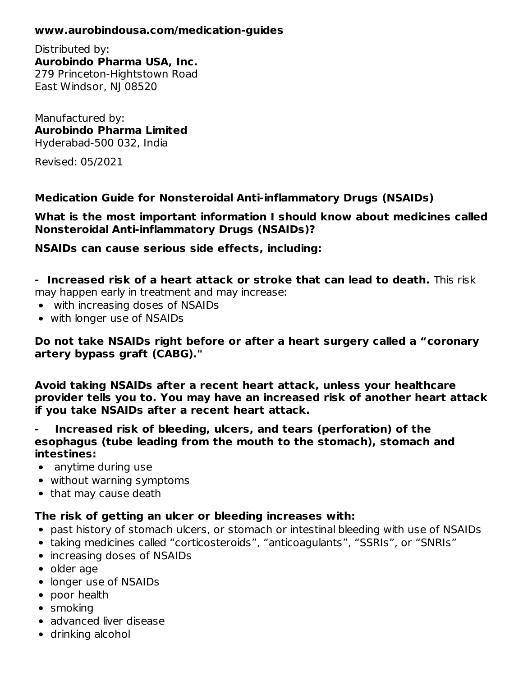#### **www.aurobindousa.com/medication-guides**

Distributed by: **Aurobindo Pharma USA, Inc.** 279 Princeton-Hightstown Road East Windsor, NJ 08520

Manufactured by: **Aurobindo Pharma Limited** Hyderabad-500 032, India

Revised: 05/2021

#### **Medication Guide for Nonsteroidal Anti-inflammatory Drugs (NSAIDs)**

**What is the most important information I should know about medicines called Nonsteroidal Anti-inflammatory Drugs (NSAIDs)?**

**NSAIDs can cause serious side effects, including:**

**- Increased risk of a heart attack or stroke that can lead to death.** This risk may happen early in treatment and may increase:

- with increasing doses of NSAIDs
- with longer use of NSAIDs

**Do not take NSAIDs right before or after a heart surgery called a "coronary artery bypass graft (CABG)."**

**Avoid taking NSAIDs after a recent heart attack, unless your healthcare provider tells you to. You may have an increased risk of another heart attack if you take NSAIDs after a recent heart attack.**

**- Increased risk of bleeding, ulcers, and tears (perforation) of the esophagus (tube leading from the mouth to the stomach), stomach and intestines:**

- anytime during use
- without warning symptoms
- that may cause death

#### **The risk of getting an ulcer or bleeding increases with:**

- past history of stomach ulcers, or stomach or intestinal bleeding with use of NSAIDs
- taking medicines called "corticosteroids", "anticoagulants", "SSRIs", or "SNRIs"
- increasing doses of NSAIDs
- older age
- longer use of NSAIDs
- poor health
- smoking
- advanced liver disease
- drinking alcohol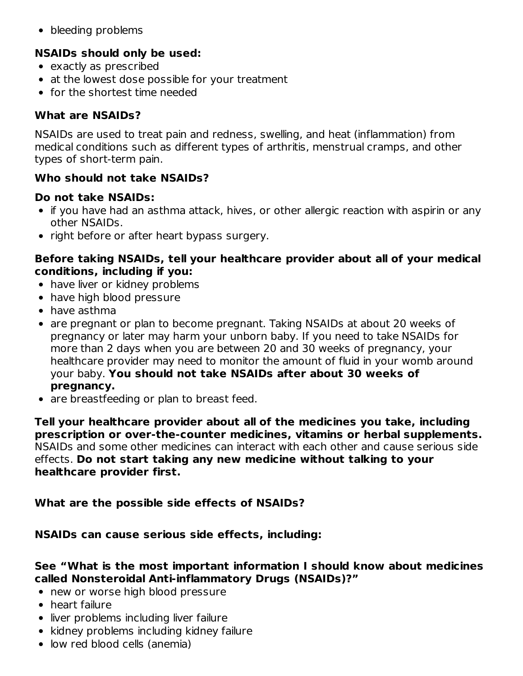• bleeding problems

### **NSAIDs should only be used:**

- exactly as prescribed
- at the lowest dose possible for your treatment
- for the shortest time needed

### **What are NSAIDs?**

NSAIDs are used to treat pain and redness, swelling, and heat (inflammation) from medical conditions such as different types of arthritis, menstrual cramps, and other types of short-term pain.

### **Who should not take NSAIDs?**

#### **Do not take NSAIDs:**

- if you have had an asthma attack, hives, or other allergic reaction with aspirin or any other NSAIDs.
- right before or after heart bypass surgery.

#### **Before taking NSAIDs, tell your healthcare provider about all of your medical conditions, including if you:**

- have liver or kidney problems
- have high blood pressure
- have asthma
- are pregnant or plan to become pregnant. Taking NSAIDs at about 20 weeks of pregnancy or later may harm your unborn baby. If you need to take NSAIDs for more than 2 days when you are between 20 and 30 weeks of pregnancy, your healthcare provider may need to monitor the amount of fluid in your womb around your baby. **You should not take NSAIDs after about 30 weeks of pregnancy.**
- are breastfeeding or plan to breast feed.

**Tell your healthcare provider about all of the medicines you take, including prescription or over-the-counter medicines, vitamins or herbal supplements.** NSAIDs and some other medicines can interact with each other and cause serious side effects. **Do not start taking any new medicine without talking to your healthcare provider first.**

### **What are the possible side effects of NSAIDs?**

#### **NSAIDs can cause serious side effects, including:**

#### **See "What is the most important information I should know about medicines called Nonsteroidal Anti-inflammatory Drugs (NSAIDs)?"**

- new or worse high blood pressure
- heart failure
- liver problems including liver failure
- kidney problems including kidney failure
- low red blood cells (anemia)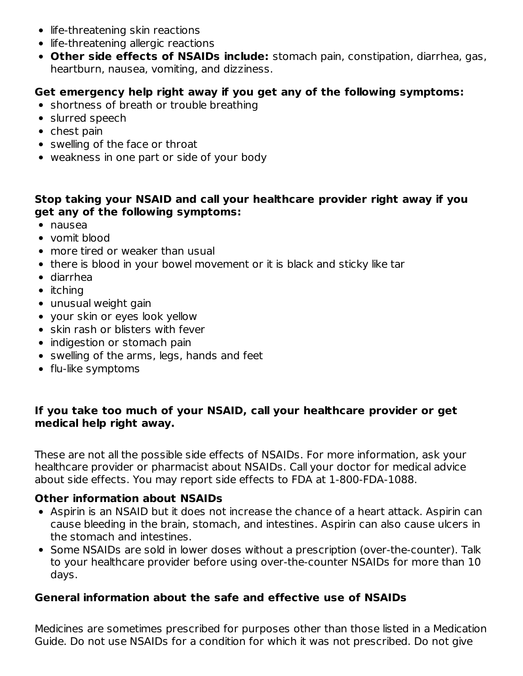- life-threatening skin reactions
- life-threatening allergic reactions
- **Other side effects of NSAIDs include:** stomach pain, constipation, diarrhea, gas, heartburn, nausea, vomiting, and dizziness.

### **Get emergency help right away if you get any of the following symptoms:**

- shortness of breath or trouble breathing
- slurred speech
- $\bullet$  chest pain
- swelling of the face or throat
- weakness in one part or side of your body

### **Stop taking your NSAID and call your healthcare provider right away if you get any of the following symptoms:**

- nausea
- vomit blood
- more tired or weaker than usual
- there is blood in your bowel movement or it is black and sticky like tar
- diarrhea
- $\bullet$  itching
- unusual weight gain
- your skin or eyes look yellow
- skin rash or blisters with fever
- indigestion or stomach pain
- swelling of the arms, legs, hands and feet
- flu-like symptoms

#### **If you take too much of your NSAID, call your healthcare provider or get medical help right away.**

These are not all the possible side effects of NSAIDs. For more information, ask your healthcare provider or pharmacist about NSAIDs. Call your doctor for medical advice about side effects. You may report side effects to FDA at 1-800-FDA-1088.

### **Other information about NSAIDs**

- Aspirin is an NSAID but it does not increase the chance of a heart attack. Aspirin can cause bleeding in the brain, stomach, and intestines. Aspirin can also cause ulcers in the stomach and intestines.
- Some NSAIDs are sold in lower doses without a prescription (over-the-counter). Talk to your healthcare provider before using over-the-counter NSAIDs for more than 10 days.

### **General information about the safe and effective use of NSAIDs**

Medicines are sometimes prescribed for purposes other than those listed in a Medication Guide. Do not use NSAIDs for a condition for which it was not prescribed. Do not give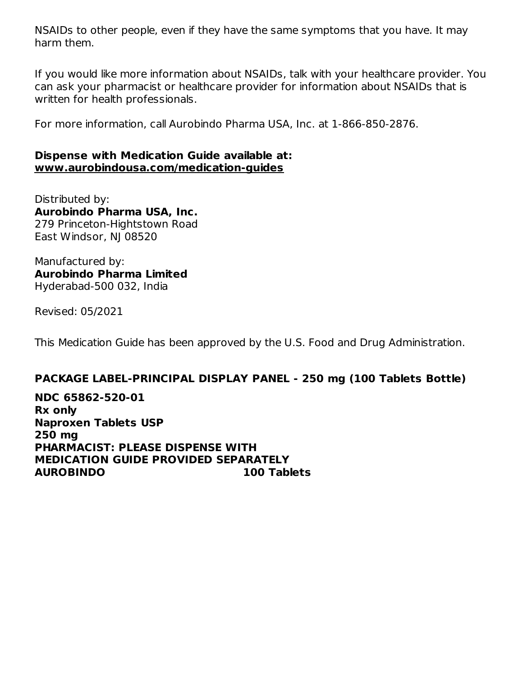NSAIDs to other people, even if they have the same symptoms that you have. It may harm them.

If you would like more information about NSAIDs, talk with your healthcare provider. You can ask your pharmacist or healthcare provider for information about NSAIDs that is written for health professionals.

For more information, call Aurobindo Pharma USA, Inc. at 1-866-850-2876.

#### **Dispense with Medication Guide available at: www.aurobindousa.com/medication-guides**

Distributed by: **Aurobindo Pharma USA, Inc.** 279 Princeton-Hightstown Road East Windsor, NJ 08520

Manufactured by: **Aurobindo Pharma Limited** Hyderabad-500 032, India

Revised: 05/2021

This Medication Guide has been approved by the U.S. Food and Drug Administration.

#### **PACKAGE LABEL-PRINCIPAL DISPLAY PANEL - 250 mg (100 Tablets Bottle)**

**NDC 65862-520-01 Rx only Naproxen Tablets USP 250 mg PHARMACIST: PLEASE DISPENSE WITH MEDICATION GUIDE PROVIDED SEPARATELY AUROBINDO 100 Tablets**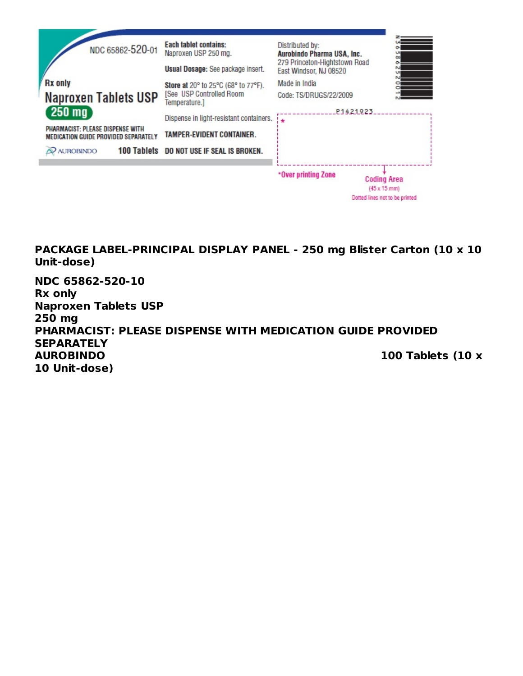|                  | NDC 65862-520-01                                                                       | <b>Each tablet contains:</b><br>Naproxen USP 250 mg. | Distributed by:<br>Aurobindo Pharma USA, Inc.           |                                                   |
|------------------|----------------------------------------------------------------------------------------|------------------------------------------------------|---------------------------------------------------------|---------------------------------------------------|
|                  |                                                                                        | Usual Dosage: See package insert.                    | 279 Princeton-Hightstown Road<br>East Windsor, NJ 08520 |                                                   |
| <b>Rx only</b>   |                                                                                        | Store at 20° to 25°C (68° to 77°F).                  | Made in India                                           |                                                   |
|                  | <b>Naproxen Tablets USP</b>                                                            | <b>ISee USP Controlled Room</b><br>Temperature.1     | Code: TS/DRUGS/22/2009                                  |                                                   |
| $250$ mg         |                                                                                        | Dispense in light-resistant containers.              |                                                         | P1421923                                          |
|                  | <b>PHARMACIST: PLEASE DISPENSE WITH</b><br><b>MEDICATION GUIDE PROVIDED SEPARATELY</b> | TAMPER-EVIDENT CONTAINER.                            |                                                         |                                                   |
| <b>AUROBINDO</b> |                                                                                        | <b>100 Tablets DO NOT USE IF SEAL IS BROKEN.</b>     |                                                         |                                                   |
|                  |                                                                                        |                                                      | *Over printing Zone                                     | <b>Coding Area</b><br>$(45 \times 15 \text{ mm})$ |
|                  |                                                                                        |                                                      |                                                         | Dotted lines not to be printed                    |

**PACKAGE LABEL-PRINCIPAL DISPLAY PANEL - 250 mg Blister Carton (10 x 10 Unit-dose)**

**NDC 65862-520-10 Rx only Naproxen Tablets USP 250 mg PHARMACIST: PLEASE DISPENSE WITH MEDICATION GUIDE PROVIDED SEPARATELY AUROBINDO 100 Tablets (10 x 10 Unit-dose)**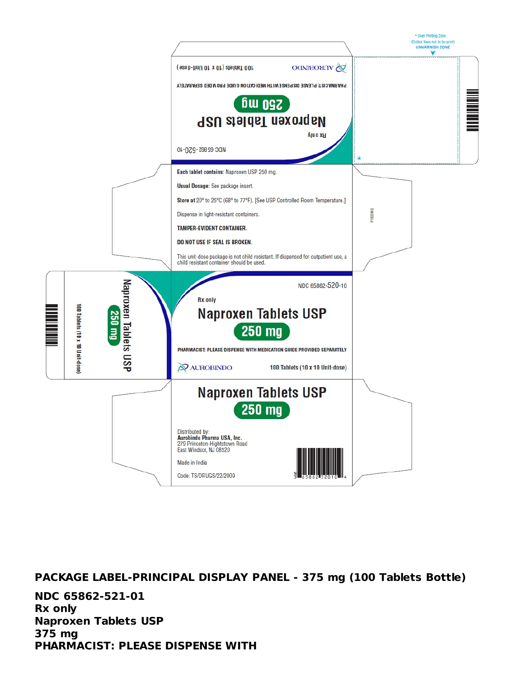

**PACKAGE LABEL-PRINCIPAL DISPLAY PANEL - 375 mg (100 Tablets Bottle)**

**NDC 65862-521-01 Rx only Naproxen Tablets USP 375 mg PHARMACIST: PLEASE DISPENSE WITH**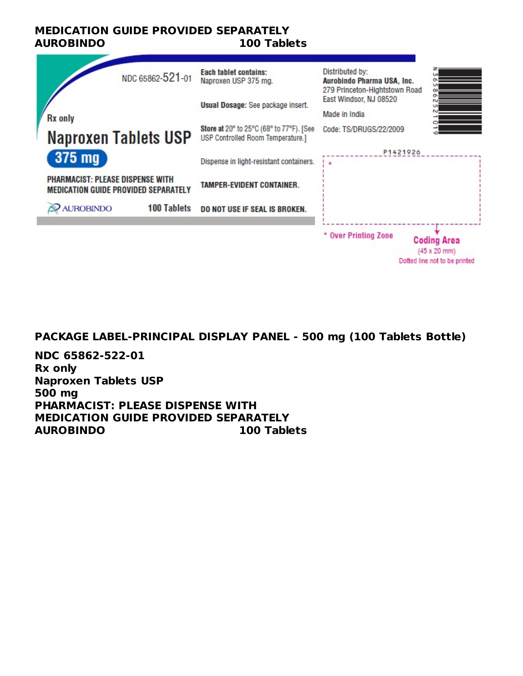#### **MEDICATION GUIDE PROVIDED SEPARATELY AUROBINDO 100 Tablets**



#### **PACKAGE LABEL-PRINCIPAL DISPLAY PANEL - 500 mg (100 Tablets Bottle)**

**NDC 65862-522-01 Rx only Naproxen Tablets USP 500 mg PHARMACIST: PLEASE DISPENSE WITH MEDICATION GUIDE PROVIDED SEPARATELY AUROBINDO 100 Tablets**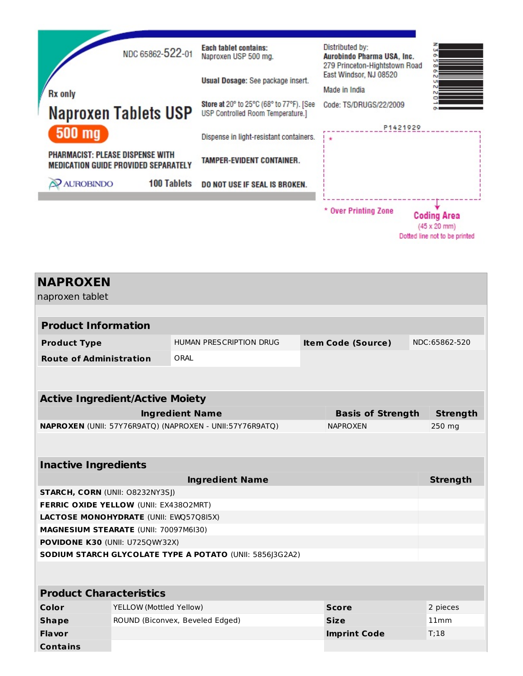| NDC 65862-522-01                                                                       | <b>Each tablet contains:</b><br>Naproxen USP 500 mg.                          | Distributed by:<br>Aurobindo Pharma USA, Inc.<br>279 Princeton-Hightstown Road<br>East Windsor, NJ 08520 |                                    |
|----------------------------------------------------------------------------------------|-------------------------------------------------------------------------------|----------------------------------------------------------------------------------------------------------|------------------------------------|
| <b>Rx</b> only                                                                         | Usual Dosage: See package insert.                                             | Made in India                                                                                            |                                    |
| <b>Naproxen Tablets USP</b>                                                            | Store at 20° to 25°C (68° to 77°F). [See<br>USP Controlled Room Temperature.] | Code: TS/DRUGS/22/2009                                                                                   |                                    |
| <b>500 mg</b>                                                                          | Dispense in light-resistant containers.                                       | P1421929                                                                                                 |                                    |
| <b>PHARMACIST: PLEASE DISPENSE WITH</b><br><b>MEDICATION GUIDE PROVIDED SEPARATELY</b> | TAMPER-EVIDENT CONTAINER.                                                     |                                                                                                          |                                    |
| <b>100 Tablets</b><br><b>AUROBINDO</b>                                                 | DO NOT USE IF SEAL IS BROKEN.                                                 |                                                                                                          |                                    |
|                                                                                        |                                                                               | * Over Printing Zone                                                                                     | <b>Coding Area</b><br>(45 x 20 mm) |

Dotted line not to be printed

# **NAPROXEN**

naproxen tablet

| <b>Product Information</b>     |                         |                           |               |
|--------------------------------|-------------------------|---------------------------|---------------|
| <b>Product Type</b>            | HUMAN PRESCRIPTION DRUG | <b>Item Code (Source)</b> | NDC:65862-520 |
| <b>Route of Administration</b> | ORAL                    |                           |               |

| <b>Basis of Strength</b> | Strength |
|--------------------------|----------|
| NAPROXEN                 | 250 mg   |
|                          |          |

| <b>Inactive Ingredients</b>                                     |                                               |                     |          |  |  |
|-----------------------------------------------------------------|-----------------------------------------------|---------------------|----------|--|--|
|                                                                 | <b>Ingredient Name</b><br><b>Strength</b>     |                     |          |  |  |
| <b>STARCH, CORN (UNII: O8232NY3SJ)</b>                          |                                               |                     |          |  |  |
|                                                                 | <b>FERRIC OXIDE YELLOW (UNII: EX43802MRT)</b> |                     |          |  |  |
|                                                                 | <b>LACTOSE MONOHYDRATE (UNII: EWQ57Q8I5X)</b> |                     |          |  |  |
|                                                                 | <b>MAGNESIUM STEARATE (UNII: 70097M6I30)</b>  |                     |          |  |  |
|                                                                 | <b>POVIDONE K30 (UNII: U7250WY32X)</b>        |                     |          |  |  |
| <b>SODIUM STARCH GLYCOLATE TYPE A POTATO (UNII: 5856]3G2A2)</b> |                                               |                     |          |  |  |
|                                                                 |                                               |                     |          |  |  |
|                                                                 |                                               |                     |          |  |  |
| <b>Product Characteristics</b>                                  |                                               |                     |          |  |  |
| Color                                                           | YELLOW (Mottled Yellow)                       | <b>Score</b>        | 2 pieces |  |  |
| <b>Shape</b>                                                    | ROUND (Biconvex, Beveled Edged)               | <b>Size</b>         | 11mm     |  |  |
| <b>Flavor</b>                                                   |                                               | <b>Imprint Code</b> | T:18     |  |  |
| <b>Contains</b>                                                 |                                               |                     |          |  |  |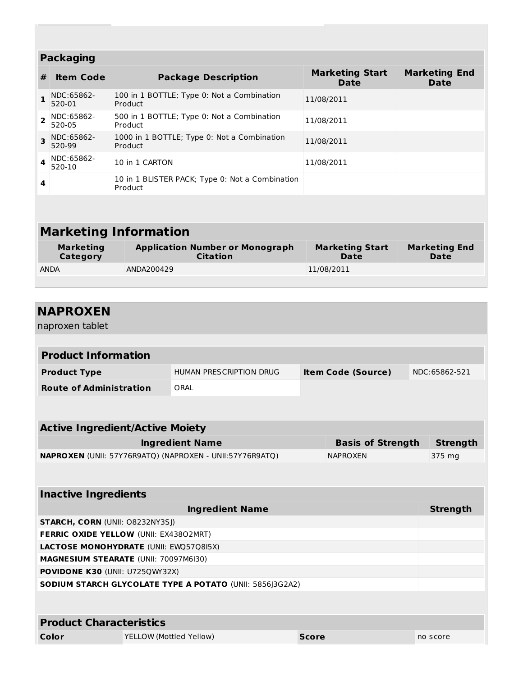|                              | <b>Packaging</b>     |                                                                      |                                       |                                     |
|------------------------------|----------------------|----------------------------------------------------------------------|---------------------------------------|-------------------------------------|
| #                            | <b>Item Code</b>     | <b>Package Description</b>                                           | <b>Marketing Start</b><br>Date        | <b>Marketing End</b><br>Date        |
| $\mathbf{1}$                 | NDC:65862-<br>520-01 | 100 in 1 BOTTLE; Type 0: Not a Combination<br>11/08/2011<br>Product  |                                       |                                     |
| $\overline{2}$               | NDC:65862-<br>520-05 | 500 in 1 BOTTLE; Type 0: Not a Combination<br>11/08/2011<br>Product  |                                       |                                     |
| $\overline{\mathbf{3}}$      | NDC:65862-<br>520-99 | 1000 in 1 BOTTLE; Type 0: Not a Combination<br>11/08/2011<br>Product |                                       |                                     |
| 4                            | NDC:65862-<br>520-10 | 10 in 1 CARTON                                                       | 11/08/2011                            |                                     |
| 4                            |                      | 10 in 1 BLISTER PACK; Type 0: Not a Combination<br>Product           |                                       |                                     |
|                              |                      |                                                                      |                                       |                                     |
|                              |                      | <b>Marketing Information</b>                                         |                                       |                                     |
| <b>Marketing</b><br>Category |                      | <b>Application Number or Monograph</b><br><b>Citation</b>            | <b>Marketing Start</b><br><b>Date</b> | <b>Marketing End</b><br><b>Date</b> |
|                              | <b>ANDA</b>          | ANDA200429                                                           | 11/08/2011                            |                                     |
|                              |                      |                                                                      |                                       |                                     |

| <b>NAPROXEN</b><br>naproxen tablet                       |                         |                                                          |                 |                           |        |                 |  |
|----------------------------------------------------------|-------------------------|----------------------------------------------------------|-----------------|---------------------------|--------|-----------------|--|
|                                                          |                         |                                                          |                 |                           |        |                 |  |
| <b>Product Information</b>                               |                         |                                                          |                 |                           |        |                 |  |
| <b>Product Type</b>                                      |                         | <b>HUMAN PRESCRIPTION DRUG</b>                           |                 | <b>Item Code (Source)</b> |        | NDC:65862-521   |  |
| <b>Route of Administration</b>                           |                         | ORAL                                                     |                 |                           |        |                 |  |
|                                                          |                         |                                                          |                 |                           |        |                 |  |
|                                                          |                         |                                                          |                 |                           |        |                 |  |
| <b>Active Ingredient/Active Moiety</b>                   |                         |                                                          |                 |                           |        |                 |  |
|                                                          |                         | <b>Ingredient Name</b>                                   |                 | <b>Basis of Strength</b>  |        | <b>Strength</b> |  |
| NAPROXEN (UNII: 57Y76R9ATQ) (NAPROXEN - UNII:57Y76R9ATQ) |                         |                                                          | <b>NAPROXEN</b> |                           | 375 mg |                 |  |
|                                                          |                         |                                                          |                 |                           |        |                 |  |
| <b>Inactive Ingredients</b>                              |                         |                                                          |                 |                           |        |                 |  |
|                                                          |                         | <b>Ingredient Name</b>                                   |                 |                           |        | <b>Strength</b> |  |
| <b>STARCH, CORN (UNII: O8232NY3SJ)</b>                   |                         |                                                          |                 |                           |        |                 |  |
| FERRIC OXIDE YELLOW (UNII: EX43802MRT)                   |                         |                                                          |                 |                           |        |                 |  |
| LACTOSE MONOHYDRATE (UNII: EWQ57Q8I5X)                   |                         |                                                          |                 |                           |        |                 |  |
| <b>MAGNESIUM STEARATE (UNII: 70097M6I30)</b>             |                         |                                                          |                 |                           |        |                 |  |
| POVIDONE K30 (UNII: U725QWY32X)                          |                         |                                                          |                 |                           |        |                 |  |
|                                                          |                         | SODIUM STARCH GLYCOLATE TYPE A POTATO (UNII: 5856J3G2A2) |                 |                           |        |                 |  |
|                                                          |                         |                                                          |                 |                           |        |                 |  |
| <b>Product Characteristics</b>                           |                         |                                                          |                 |                           |        |                 |  |
| Color                                                    | YELLOW (Mottled Yellow) |                                                          | <b>Score</b>    |                           |        | no score        |  |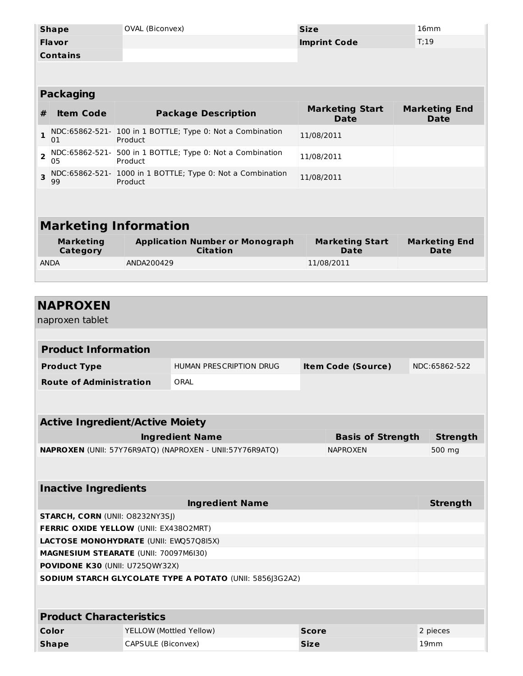|               | <b>Size</b><br><b>Shape</b><br>OVAL (Biconvex) |                                                                       |                                | 16mm                         |  |
|---------------|------------------------------------------------|-----------------------------------------------------------------------|--------------------------------|------------------------------|--|
| <b>Flavor</b> |                                                |                                                                       | <b>Imprint Code</b>            | T;19                         |  |
|               | <b>Contains</b>                                |                                                                       |                                |                              |  |
|               |                                                |                                                                       |                                |                              |  |
|               |                                                |                                                                       |                                |                              |  |
|               | <b>Packaging</b>                               |                                                                       |                                |                              |  |
| #             | <b>Item Code</b>                               | <b>Package Description</b>                                            | <b>Marketing Start</b><br>Date | <b>Marketing End</b><br>Date |  |
| $\mathbf{1}$  | 01                                             | NDC:65862-521- 100 in 1 BOTTLE; Type 0: Not a Combination<br>Product  | 11/08/2011                     |                              |  |
| 2             | 05                                             | NDC:65862-521- 500 in 1 BOTTLE; Type 0: Not a Combination<br>Product  | 11/08/2011                     |                              |  |
| 3             | 99                                             | NDC:65862-521- 1000 in 1 BOTTLE; Type 0: Not a Combination<br>Product | 11/08/2011                     |                              |  |
|               |                                                |                                                                       |                                |                              |  |
|               |                                                |                                                                       |                                |                              |  |
|               |                                                | <b>Marketing Information</b>                                          |                                |                              |  |
|               | <b>Marketing</b><br>Category                   | <b>Application Number or Monograph</b><br><b>Citation</b>             | <b>Marketing Start</b><br>Date | <b>Marketing End</b><br>Date |  |
|               | <b>ANDA</b>                                    | ANDA200429                                                            | 11/08/2011                     |                              |  |
|               |                                                |                                                                       |                                |                              |  |

| <b>NAPROXEN</b>                                          |                                                          |              |                           |  |                 |  |
|----------------------------------------------------------|----------------------------------------------------------|--------------|---------------------------|--|-----------------|--|
| naproxen tablet                                          |                                                          |              |                           |  |                 |  |
|                                                          |                                                          |              |                           |  |                 |  |
| <b>Product Information</b>                               |                                                          |              |                           |  |                 |  |
| <b>Product Type</b>                                      | HUMAN PRESCRIPTION DRUG                                  |              | <b>Item Code (Source)</b> |  | NDC:65862-522   |  |
| <b>Route of Administration</b>                           | ORAI                                                     |              |                           |  |                 |  |
|                                                          |                                                          |              |                           |  |                 |  |
|                                                          |                                                          |              |                           |  |                 |  |
| <b>Active Ingredient/Active Moiety</b>                   |                                                          |              |                           |  |                 |  |
|                                                          | <b>Ingredient Name</b>                                   |              | <b>Basis of Strength</b>  |  | <b>Strength</b> |  |
|                                                          | NAPROXEN (UNII: 57Y76R9ATQ) (NAPROXEN - UNII:57Y76R9ATQ) |              | <b>NAPROXEN</b>           |  | 500 mg          |  |
|                                                          |                                                          |              |                           |  |                 |  |
|                                                          |                                                          |              |                           |  |                 |  |
| <b>Inactive Ingredients</b>                              |                                                          |              |                           |  |                 |  |
|                                                          | <b>Ingredient Name</b>                                   |              |                           |  | <b>Strength</b> |  |
| <b>STARCH, CORN (UNII: O8232NY3SJ)</b>                   |                                                          |              |                           |  |                 |  |
| <b>FERRIC OXIDE YELLOW (UNII: EX43802MRT)</b>            |                                                          |              |                           |  |                 |  |
| LACTOSE MONOHYDRATE (UNII: EWQ57Q8I5X)                   |                                                          |              |                           |  |                 |  |
| MAGNESIUM STEARATE (UNII: 70097M6I30)                    |                                                          |              |                           |  |                 |  |
| POVIDONE K30 (UNII: U725QWY32X)                          |                                                          |              |                           |  |                 |  |
| SODIUM STARCH GLYCOLATE TYPE A POTATO (UNII: 5856J3G2A2) |                                                          |              |                           |  |                 |  |
|                                                          |                                                          |              |                           |  |                 |  |
| <b>Product Characteristics</b>                           |                                                          |              |                           |  |                 |  |
| Color                                                    | YELLOW (Mottled Yellow)                                  | <b>Score</b> |                           |  | 2 pieces        |  |
| <b>Shape</b>                                             | CAPSULE (Biconvex)                                       | <b>Size</b>  |                           |  | 19mm            |  |